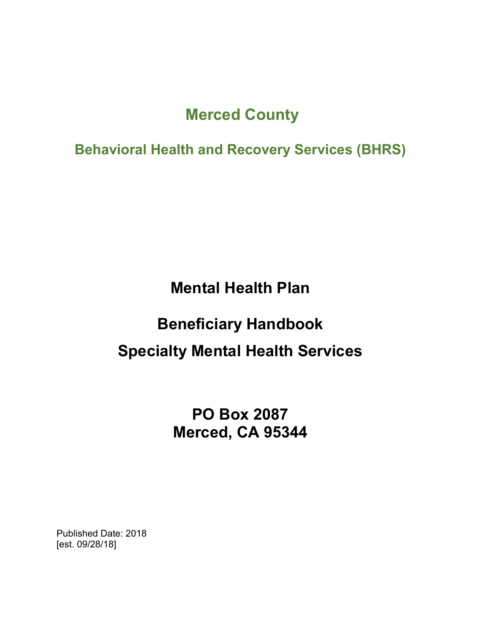## **Merced County**

**Behavioral Health and Recovery Services (BHRS)**

**Mental Health Plan**

# **Beneficiary Handbook Specialty Mental Health Services**

**PO Box 2087 Merced, CA 95344**

Published Date: 2018 [est. 09/28/18]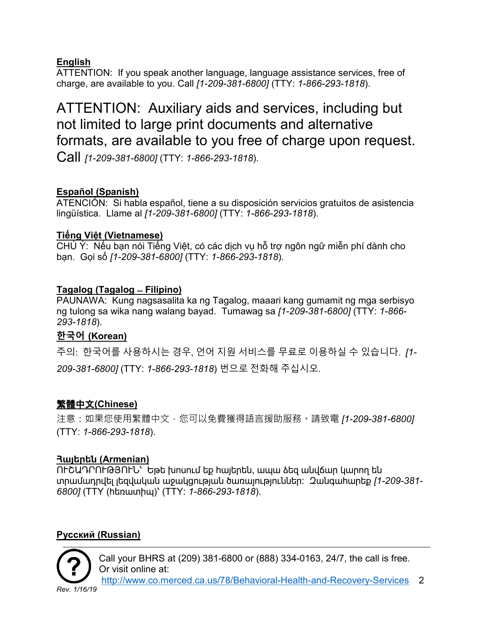#### **English**

ATTENTION: If you speak another language, language assistance services, free of charge, are available to you. Call *[1-209-381-6800]* (TTY: *1-866-293-1818*).

## ATTENTION: Auxiliary aids and services, including but not limited to large print documents and alternative formats, are available to you free of charge upon request.

Call *[1-209-381-6800]* (TTY: *1-866-293-1818*).

#### **Español (Spanish)**

ATENCIÓN: Si habla español, tiene a su disposición servicios gratuitos de asistencia lingüística. Llame al *[1-209-381-6800]* (TTY: *1-866-293-1818*).

#### **Tiếng Việt (Vietnamese)**

CHÚ Ý: Nếu bạn nói Tiếng Việt, có các dịch vụ hỗ trợ ngôn ngữ miễn phí dành cho bạn. Gọi số *[1-209-381-6800]* (TTY: *1-866-293-1818*).

#### **Tagalog (Tagalog ̶ Filipino)**

PAUNAWA: Kung nagsasalita ka ng Tagalog, maaari kang gumamit ng mga serbisyo ng tulong sa wika nang walang bayad. Tumawag sa *[1-209-381-6800]* (TTY: *1-866- 293-1818*).

#### **한국어 (Korean)**

주의: 한국어를 사용하시는 경우, 언어 지원 서비스를 무료로 이용하실 수 있습니다. *[1- 209-381-6800]* (TTY: *1-866-293-1818*) 번으로 전화해 주십시오.

#### 繁體中文**(Chinese)**

注意:如果您使用繁體中文,您可以免費獲得語言援助服務。請致電 *[1-209-381-6800]* (TTY: *1-866-293-1818*).

#### **Հայերեն (Armenian)**

ՈՒՇԱԴՐՈՒԹՅՈՒՆ՝ Եթե խոսում եք հայերեն, ապա ձեզ անվճար կարող են տրամադրվել լեզվական աջակցության ծառայություններ: Զանգահարեք *[1-209-381- 6800]* (TTY (հեռատիպ)՝ (TTY: *1-866-293-1818*).

#### **Pусский (Russian)**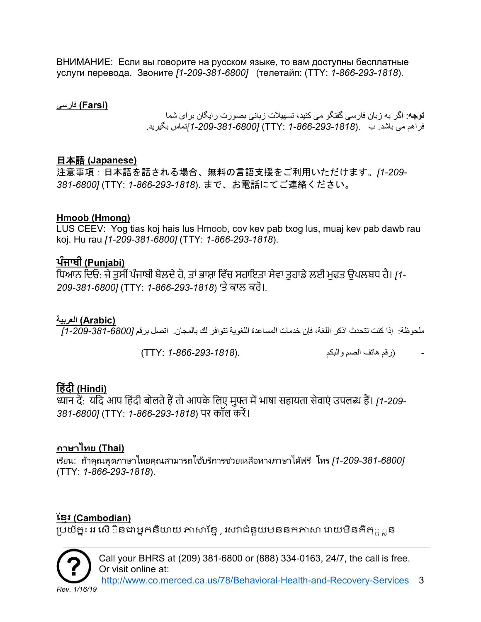ВНИМАНИЕ: Если вы говорите на русском языке, то вам доступны бесплатные услуги перевода. Звоните *[1-209-381-6800]* (телетайп: (TTY: *1-866-293-1818*).

#### **(Farsi (**فارسی

**توجھ**: اگر بھ زبان فارسی گفتگو می کنید، تسھیلات زبانی بصورت رایگان برای شما فراھم می باشد. ب .(*1-866-293-1818* :TTY*]* (*1-209-381-6800[*تماس بگیرید.

#### 日本語 **(Japanese)**

注意事項:日本語を話される場合、無料の言語支援をご利用いただけます。*[1-209- 381-6800]* (TTY: *1-866-293-1818*). まで、お電話にてご連絡ください。

#### **Hmoob (Hmong)**

LUS CEEV: Yog tias koj hais lus Hmoob, cov kev pab txog lus, muaj kev pab dawb rau koj. Hu rau *[1-209-381-6800]* (TTY: *1-866-293-1818*).

#### **ਪੰਜਾਬੀ (Punjabi)**

ਿਧਆਨ ਿਦਓ: ਜੇਤੁਸੀ ਂਪੰਜਾਬੀ ਬੋਲਦੇਹੋ, ਤਾਂਭਾਸ਼ਾ ਿਵੱਚ ਸਹਾਇਤਾ ਸੇਵਾ ਤੁਹਾਡੇਲਈ ਮੁਫਤ ਉਪਲਬਧ ਹੈ। *[1- 209-381-6800]* (TTY: *1-866-293-1818*) 'ਤੇਕਾਲ ਕਰੋ।.

#### **(Arabic (العربیة**

ملحوظة: إذا كنت تتحدث اذكر اللغة، فإن خدمات المساعدة اللغویة تتوافر لك بالمجان. اتصل برقم *[1-209-381-6800]*

*-* (رقم ھاتف الصم والبكم.(*1-866-293-1818* :TTY(

## **िहंदी (Hindi)**

<u>ध्यान दें: यदि</u> आप हिंदी बोलते हैं तो आपके लिए मुफ्त में भाषा सहायता सेवाएं उपलब्ध हैं। *[1-209-381-6800]* (TTY: 1-866-293-1818) पर कॉल करें।

#### **ภาษาไทย (Thai)**

<u>ิ</u>เรียน: ถ้าคุณพูดภาษาไทยคุณสามารถใช้บริการช่วยเหลือทางภาษาได้ฟรี โทร *[1-209-381-6800]* (TTY: *1-866-293-1818*).

#### **ែខ�រ (Cambodian)**

្របយ័ត�៖ ររ េសើ◌ិន�អ�កនិ�យ ��ែខ�, រស�ជំនួយមននក�� េ�យមិនគិត្◌ួ◌�ន



Call your BHRS at (209) 381-6800 or (888) 334-0163, 24/7, the call is free. Or visit online at:

[http://www.co.merced.ca.us/78/Behavioral-Health-and-Recovery-Services](http://www.co.merced.ca.us/78/Behavioral-Health-and-%20%20%20Recovery-Services) 3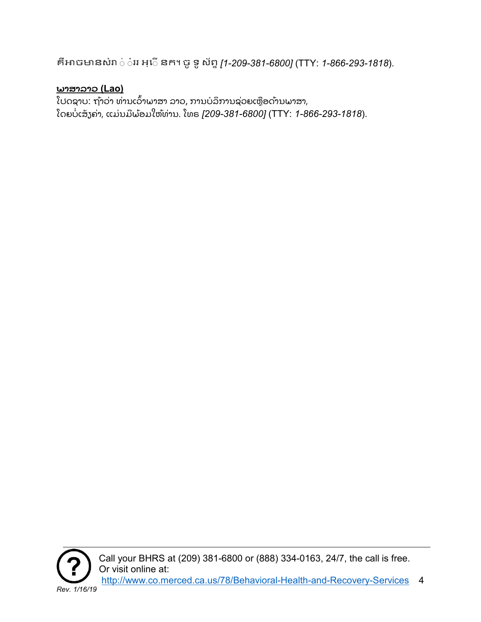គឺ�ច�នសំ� ◌់ ◌ំររ អ្េ◌ើនក។ ចូទូស័ព�*[1-209-381-6800]* (TTY: *1-866-293-1818*).

### **ພາສາລາວ (Lao)**

ໂປດຊາບ: ຖ້າວ່າ ທ່ານເວົ້າພາສາ ລາວ, ການບໍລິການຊ່ວຍເຫຼືອດ້ານພາສາ, ໂດຍບໍ່ ເສັ ຽຄ່າ, ແມ່ ນມີ ພ້ ອມໃຫ້ທ່ານ. ໂທຣ *[209-381-6800]* (TTY: *1-866-293-1818*).



Call your BHRS at (209) 381-6800 or (888) 334-0163, 24/7, the call is free. Or visit online at: [http://www.co.merced.ca.us/78/Behavioral-Health-and-Recovery-Services](http://www.co.merced.ca.us/78/Behavioral-Health-and-%20%20%20Recovery-Services) 4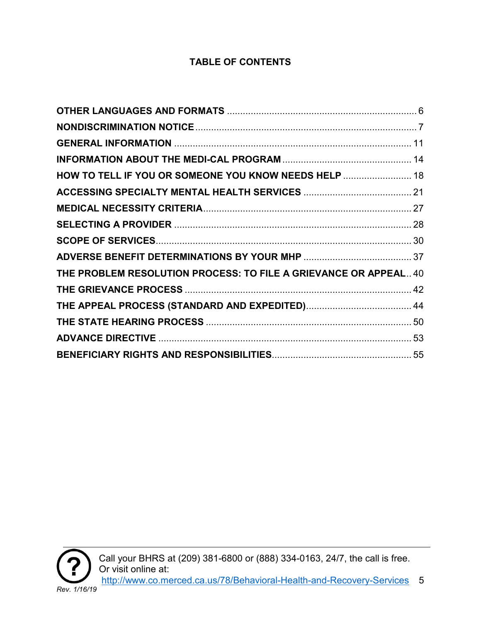### **TABLE OF CONTENTS**

| HOW TO TELL IF YOU OR SOMEONE YOU KNOW NEEDS HELP  18            |  |
|------------------------------------------------------------------|--|
|                                                                  |  |
|                                                                  |  |
|                                                                  |  |
|                                                                  |  |
|                                                                  |  |
| THE PROBLEM RESOLUTION PROCESS: TO FILE A GRIEVANCE OR APPEAL 40 |  |
|                                                                  |  |
|                                                                  |  |
|                                                                  |  |
|                                                                  |  |
|                                                                  |  |

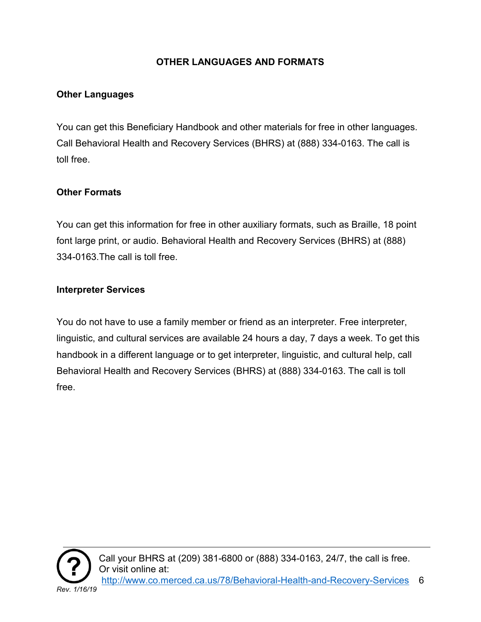#### **OTHER LANGUAGES AND FORMATS**

#### <span id="page-5-0"></span>**Other Languages**

You can get this Beneficiary Handbook and other materials for free in other languages. Call Behavioral Health and Recovery Services (BHRS) at (888) 334-0163. The call is toll free.

#### **Other Formats**

You can get this information for free in other auxiliary formats, such as Braille, 18 point font large print, or audio. Behavioral Health and Recovery Services (BHRS) at (888) 334-0163.The call is toll free.

#### **Interpreter Services**

You do not have to use a family member or friend as an interpreter. Free interpreter, linguistic, and cultural services are available 24 hours a day, 7 days a week. To get this handbook in a different language or to get interpreter, linguistic, and cultural help, call Behavioral Health and Recovery Services (BHRS) at (888) 334-0163. The call is toll free.

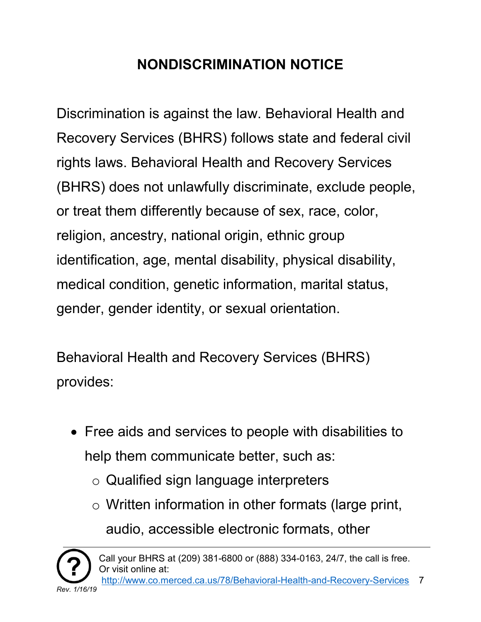# **NONDISCRIMINATION NOTICE**

<span id="page-6-0"></span>Discrimination is against the law. Behavioral Health and Recovery Services (BHRS) follows state and federal civil rights laws. Behavioral Health and Recovery Services (BHRS) does not unlawfully discriminate, exclude people, or treat them differently because of sex, race, color, religion, ancestry, national origin, ethnic group identification, age, mental disability, physical disability, medical condition, genetic information, marital status, gender, gender identity, or sexual orientation.

Behavioral Health and Recovery Services (BHRS) provides:

- Free aids and services to people with disabilities to help them communicate better, such as:
	- o Qualified sign language interpreters
	- $\circ$  Written information in other formats (large print, audio, accessible electronic formats, other

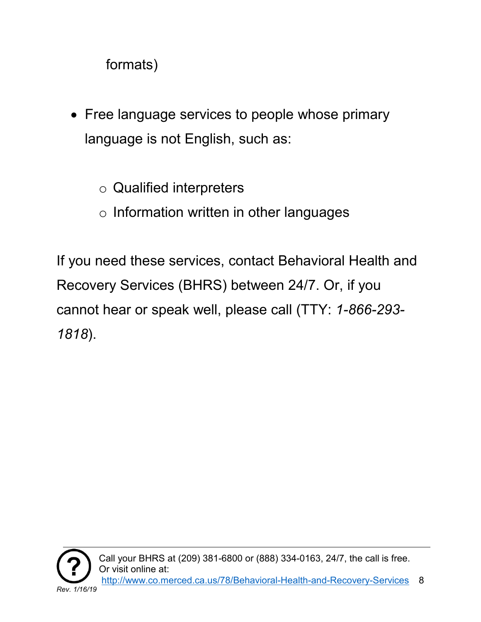formats)

- Free language services to people whose primary language is not English, such as:
	- o Qualified interpreters
	- o Information written in other languages

If you need these services, contact Behavioral Health and Recovery Services (BHRS) between 24/7. Or, if you cannot hear or speak well, please call (TTY: *1-866-293- 1818*).

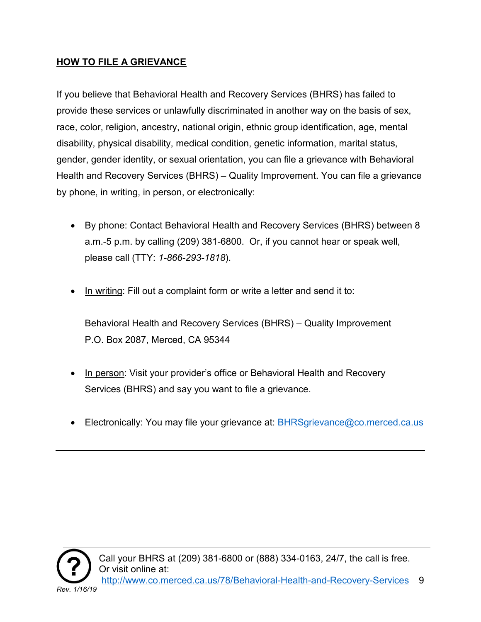#### **HOW TO FILE A GRIEVANCE**

If you believe that Behavioral Health and Recovery Services (BHRS) has failed to provide these services or unlawfully discriminated in another way on the basis of sex, race, color, religion, ancestry, national origin, ethnic group identification, age, mental disability, physical disability, medical condition, genetic information, marital status, gender, gender identity, or sexual orientation, you can file a grievance with Behavioral Health and Recovery Services (BHRS) – Quality Improvement. You can file a grievance by phone, in writing, in person, or electronically:

- By phone: Contact Behavioral Health and Recovery Services (BHRS) between 8 a.m.-5 p.m. by calling (209) 381-6800. Or, if you cannot hear or speak well, please call (TTY: *1-866-293-1818*).
- In writing: Fill out a complaint form or write a letter and send it to:

Behavioral Health and Recovery Services (BHRS) – Quality Improvement P.O. Box 2087, Merced, CA 95344

- In person: Visit your provider's office or Behavioral Health and Recovery Services (BHRS) and say you want to file a grievance.
- Electronically: You may file your grievance at: [BHRSgrievance@co.merced.ca.us](mailto:BHRSgrievance@co.merced.ca.us)

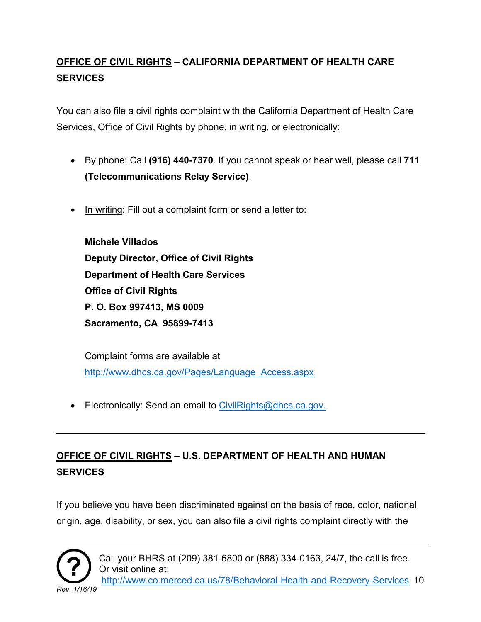## **OFFICE OF CIVIL RIGHTS – CALIFORNIA DEPARTMENT OF HEALTH CARE SERVICES**

You can also file a civil rights complaint with the California Department of Health Care Services, Office of Civil Rights by phone, in writing, or electronically:

- By phone: Call **(916) 440-7370**. If you cannot speak or hear well, please call **711 (Telecommunications Relay Service)**.
- In writing: Fill out a complaint form or send a letter to:

**Michele Villados Deputy Director, Office of Civil Rights Department of Health Care Services Office of Civil Rights P. O. Box 997413, MS 0009 Sacramento, CA 95899-7413**

Complaint forms are available at [http://www.dhcs.ca.gov/Pages/Language\\_Access.aspx](http://www.dhcs.ca.gov/Pages/Language_Access.aspx)

• Electronically: Send an email to [CivilRights@dhcs.ca.gov.](mailto:CivilRights@dhcs.ca.gov)

## **OFFICE OF CIVIL RIGHTS – U.S. DEPARTMENT OF HEALTH AND HUMAN SERVICES**

If you believe you have been discriminated against on the basis of race, color, national origin, age, disability, or sex, you can also file a civil rights complaint directly with the

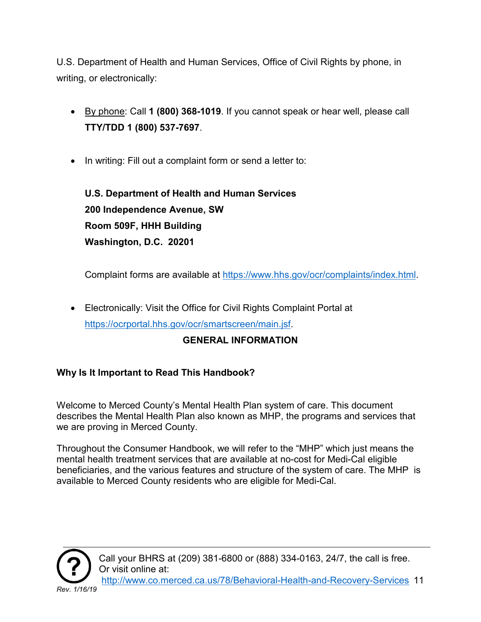U.S. Department of Health and Human Services, Office of Civil Rights by phone, in writing, or electronically:

- By phone: Call **1 (800) 368-1019**. If you cannot speak or hear well, please call **TTY/TDD 1 (800) 537-7697**.
- In writing: Fill out a complaint form or send a letter to:

**U.S. Department of Health and Human Services 200 Independence Avenue, SW Room 509F, HHH Building Washington, D.C. 20201** 

Complaint forms are available at [https://www.hhs.gov/ocr/complaints/index.html.](https://www.hhs.gov/ocr/complaints/index.html)

• Electronically: Visit the Office for Civil Rights Complaint Portal at [https://ocrportal.hhs.gov/ocr/smartscreen/main.jsf.](https://ocrportal.hhs.gov/ocr/smartscreen/main.jsf)

#### **GENERAL INFORMATION**

#### <span id="page-10-0"></span>**Why Is It Important to Read This Handbook?**

Welcome to Merced County's Mental Health Plan system of care. This document describes the Mental Health Plan also known as MHP, the programs and services that we are proving in Merced County.

Throughout the Consumer Handbook, we will refer to the "MHP" which just means the mental health treatment services that are available at no-cost for Medi-Cal eligible beneficiaries, and the various features and structure of the system of care. The MHP is available to Merced County residents who are eligible for Medi-Cal.

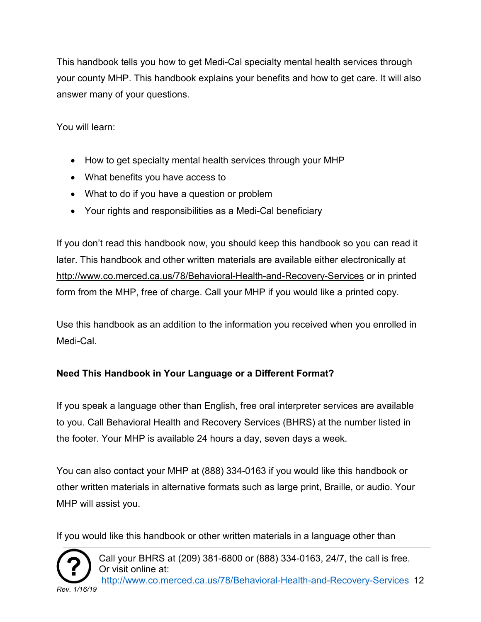This handbook tells you how to get Medi-Cal specialty mental health services through your county MHP. This handbook explains your benefits and how to get care. It will also answer many of your questions.

You will learn:

- How to get specialty mental health services through your MHP
- What benefits you have access to
- What to do if you have a question or problem
- Your rights and responsibilities as a Medi-Cal beneficiary

If you don't read this handbook now, you should keep this handbook so you can read it later. This handbook and other written materials are available either electronically at <http://www.co.merced.ca.us/78/Behavioral-Health-and-Recovery-Services> or in printed form from the MHP, free of charge. Call your MHP if you would like a printed copy.

Use this handbook as an addition to the information you received when you enrolled in Medi-Cal.

#### **Need This Handbook in Your Language or a Different Format?**

If you speak a language other than English, free oral interpreter services are available to you. Call Behavioral Health and Recovery Services (BHRS) at the number listed in the footer. Your MHP is available 24 hours a day, seven days a week.

You can also contact your MHP at (888) 334-0163 if you would like this handbook or other written materials in alternative formats such as large print, Braille, or audio. Your MHP will assist you.

If you would like this handbook or other written materials in a language other than



Call your BHRS at (209) 381-6800 or (888) 334-0163, 24/7, the call is free. Or visit online at: [http://www.co.merced.ca.us/78/Behavioral-Health-and-Recovery-Services](http://www.co.merced.ca.us/78/Behavioral-Health-and-%20%20%20Recovery-Services) 12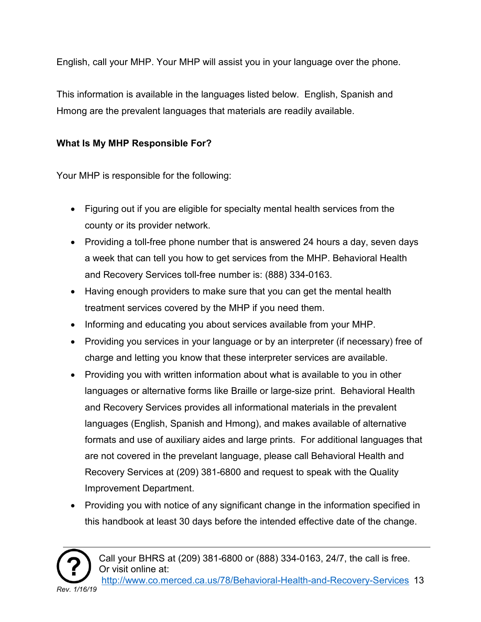English, call your MHP. Your MHP will assist you in your language over the phone.

This information is available in the languages listed below. English, Spanish and Hmong are the prevalent languages that materials are readily available.

#### **What Is My MHP Responsible For?**

Your MHP is responsible for the following:

- Figuring out if you are eligible for specialty mental health services from the county or its provider network.
- Providing a toll-free phone number that is answered 24 hours a day, seven days a week that can tell you how to get services from the MHP. Behavioral Health and Recovery Services toll-free number is: (888) 334-0163.
- Having enough providers to make sure that you can get the mental health treatment services covered by the MHP if you need them.
- Informing and educating you about services available from your MHP.
- Providing you services in your language or by an interpreter (if necessary) free of charge and letting you know that these interpreter services are available.
- Providing you with written information about what is available to you in other languages or alternative forms like Braille or large-size print. Behavioral Health and Recovery Services provides all informational materials in the prevalent languages (English, Spanish and Hmong), and makes available of alternative formats and use of auxiliary aides and large prints. For additional languages that are not covered in the prevelant language, please call Behavioral Health and Recovery Services at (209) 381-6800 and request to speak with the Quality Improvement Department.
- Providing you with notice of any significant change in the information specified in this handbook at least 30 days before the intended effective date of the change.



Call your BHRS at (209) 381-6800 or (888) 334-0163, 24/7, the call is free. Or visit online at: [http://www.co.merced.ca.us/78/Behavioral-Health-and-Recovery-Services](http://www.co.merced.ca.us/78/Behavioral-Health-and-%20%20%20Recovery-Services) 13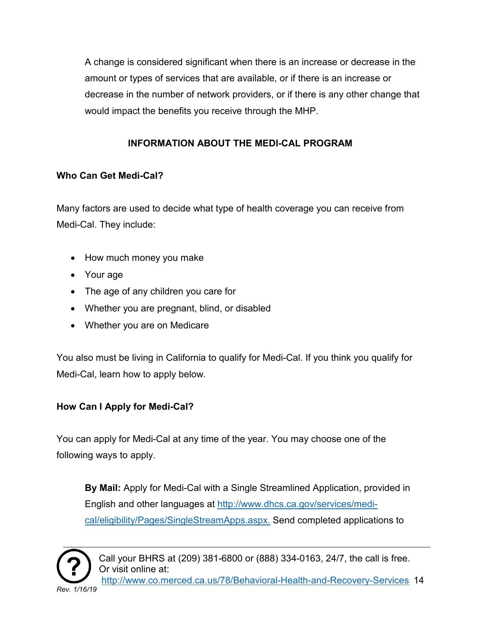A change is considered significant when there is an increase or decrease in the amount or types of services that are available, or if there is an increase or decrease in the number of network providers, or if there is any other change that would impact the benefits you receive through the MHP.

#### **INFORMATION ABOUT THE MEDI-CAL PROGRAM**

#### <span id="page-13-0"></span>**Who Can Get Medi-Cal?**

Many factors are used to decide what type of health coverage you can receive from Medi-Cal. They include:

- How much money you make
- Your age
- The age of any children you care for
- Whether you are pregnant, blind, or disabled
- Whether you are on Medicare

You also must be living in California to qualify for Medi-Cal. If you think you qualify for Medi-Cal, learn how to apply below.

## **How Can I Apply for Medi-Cal?**

You can apply for Medi-Cal at any time of the year. You may choose one of the following ways to apply.

**By Mail:** Apply for Medi-Cal with a Single Streamlined Application, provided in English and other languages at [http://www.dhcs.ca.gov/services/medi](http://www.dhcs.ca.gov/services/medi-cal/eligibility/Pages/SingleStreamApps.aspx)[cal/eligibility/Pages/SingleStreamApps.aspx.](http://www.dhcs.ca.gov/services/medi-cal/eligibility/Pages/SingleStreamApps.aspx) Send completed applications to

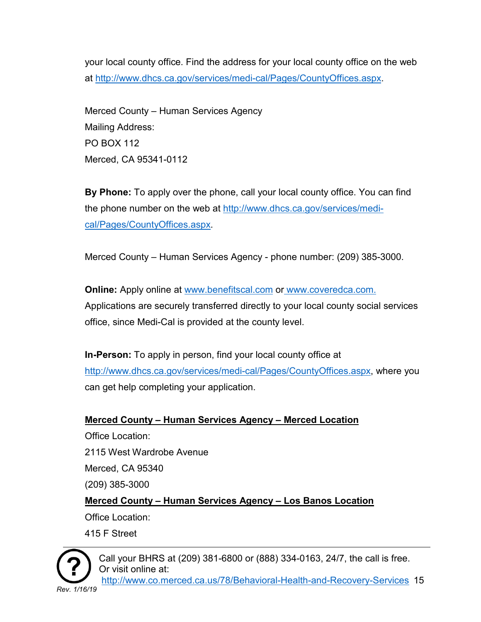your local county office. Find the address for your local county office on the web at [http://www.dhcs.ca.gov/services/medi-cal/Pages/CountyOffices.aspx.](http://www.dhcs.ca.gov/services/medi-cal/Pages/CountyOffices.aspx)

Merced County – Human Services Agency Mailing Address: PO BOX 112 Merced, CA 95341-0112

**By Phone:** To apply over the phone, call your local county office. You can find the phone number on the web at [http://www.dhcs.ca.gov/services/medi](http://www.dhcs.ca.gov/services/medi-cal/Pages/CountyOffices.aspx)[cal/Pages/CountyOffices.aspx.](http://www.dhcs.ca.gov/services/medi-cal/Pages/CountyOffices.aspx)

Merced County – Human Services Agency - phone number: (209) 385-3000.

**Online:** Apply online at [www.benefitscal.com](http://www.benefitscal.com/) or [www.coveredca.com.](http://www.coveredca.com/) Applications are securely transferred directly to your local county social services office, since Medi-Cal is provided at the county level.

**In-Person:** To apply in person, find your local county office at [http://www.dhcs.ca.gov/services/medi-cal/Pages/CountyOffices.aspx,](http://www.dhcs.ca.gov/services/medi-cal/Pages/CountyOffices.aspx) where you can get help completing your application.

## **Merced County – Human Services Agency – Merced Location** Office Location: 2115 West Wardrobe Avenue Merced, CA 95340 (209) 385-3000 **Merced County – Human Services Agency – Los Banos Location** Office Location: 415 F Street

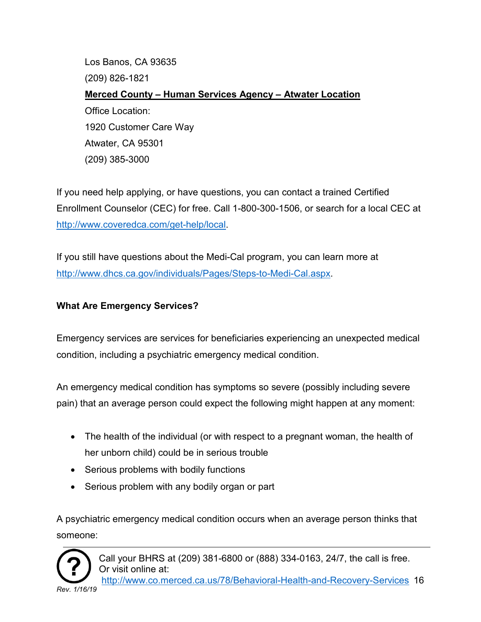Los Banos, CA 93635 (209) 826-1821 **Merced County – Human Services Agency – Atwater Location** Office Location: 1920 Customer Care Way Atwater, CA 95301 (209) 385-3000

If you need help applying, or have questions, you can contact a trained Certified Enrollment Counselor (CEC) for free. Call 1-800-300-1506, or search for a local CEC at [http://www.coveredca.com/get-help/local.](http://www.coveredca.com/get-help/local)

If you still have questions about the Medi-Cal program, you can learn more at [http://www.dhcs.ca.gov/individuals/Pages/Steps-to-Medi-Cal.aspx.](http://www.dhcs.ca.gov/individuals/Pages/Steps-to-Medi-Cal.aspx)

#### **What Are Emergency Services?**

Emergency services are services for beneficiaries experiencing an unexpected medical condition, including a psychiatric emergency medical condition.

An emergency medical condition has symptoms so severe (possibly including severe pain) that an average person could expect the following might happen at any moment:

- The health of the individual (or with respect to a pregnant woman, the health of her unborn child) could be in serious trouble
- Serious problems with bodily functions
- Serious problem with any bodily organ or part

A psychiatric emergency medical condition occurs when an average person thinks that someone:

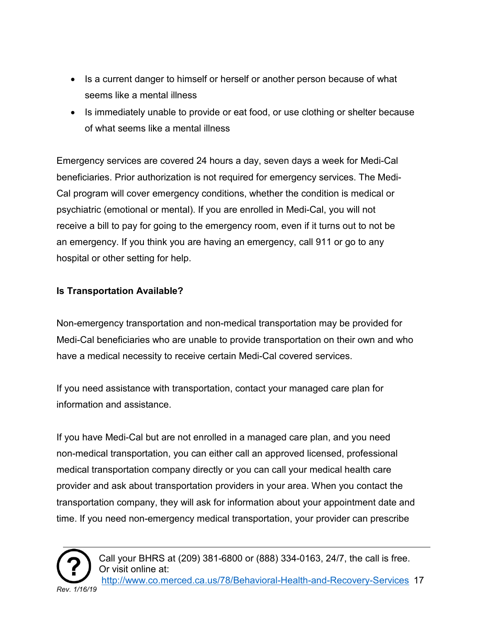- Is a current danger to himself or herself or another person because of what seems like a mental illness
- Is immediately unable to provide or eat food, or use clothing or shelter because of what seems like a mental illness

Emergency services are covered 24 hours a day, seven days a week for Medi-Cal beneficiaries. Prior authorization is not required for emergency services. The Medi-Cal program will cover emergency conditions, whether the condition is medical or psychiatric (emotional or mental). If you are enrolled in Medi-Cal, you will not receive a bill to pay for going to the emergency room, even if it turns out to not be an emergency. If you think you are having an emergency, call 911 or go to any hospital or other setting for help.

#### **Is Transportation Available?**

Non-emergency transportation and non-medical transportation may be provided for Medi-Cal beneficiaries who are unable to provide transportation on their own and who have a medical necessity to receive certain Medi-Cal covered services.

If you need assistance with transportation, contact your managed care plan for information and assistance.

If you have Medi-Cal but are not enrolled in a managed care plan, and you need non-medical transportation, you can either call an approved licensed, professional medical transportation company directly or you can call your medical health care provider and ask about transportation providers in your area. When you contact the transportation company, they will ask for information about your appointment date and time. If you need non-emergency medical transportation, your provider can prescribe

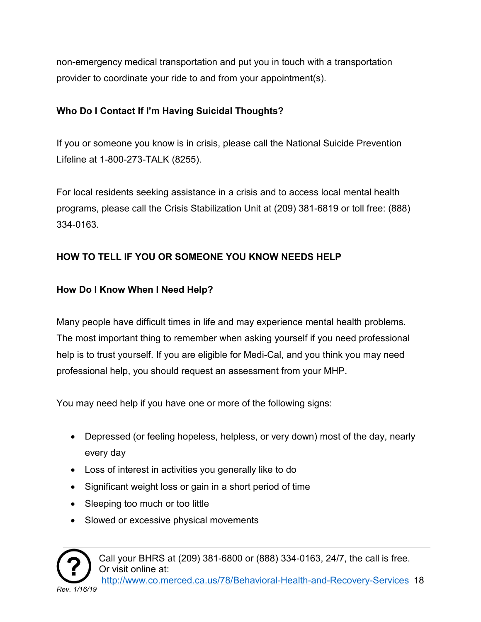non-emergency medical transportation and put you in touch with a transportation provider to coordinate your ride to and from your appointment(s).

#### **Who Do I Contact If I'm Having Suicidal Thoughts?**

If you or someone you know is in crisis, please call the National Suicide Prevention Lifeline at 1-800-273-TALK (8255).

For local residents seeking assistance in a crisis and to access local mental health programs, please call the Crisis Stabilization Unit at (209) 381-6819 or toll free: (888) 334-0163.

## <span id="page-17-0"></span>**HOW TO TELL IF YOU OR SOMEONE YOU KNOW NEEDS HELP**

### **How Do I Know When I Need Help?**

Many people have difficult times in life and may experience mental health problems. The most important thing to remember when asking yourself if you need professional help is to trust yourself. If you are eligible for Medi-Cal, and you think you may need professional help, you should request an assessment from your MHP.

You may need help if you have one or more of the following signs:

- Depressed (or feeling hopeless, helpless, or very down) most of the day, nearly every day
- Loss of interest in activities you generally like to do
- Significant weight loss or gain in a short period of time
- Sleeping too much or too little
- Slowed or excessive physical movements

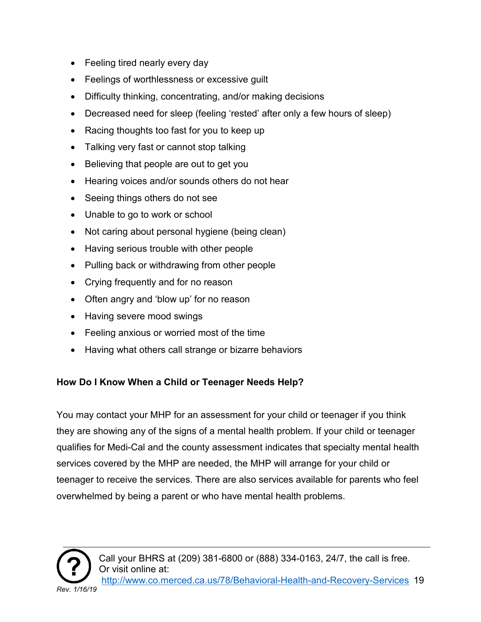- Feeling tired nearly every day
- Feelings of worthlessness or excessive guilt
- Difficulty thinking, concentrating, and/or making decisions
- Decreased need for sleep (feeling 'rested' after only a few hours of sleep)
- Racing thoughts too fast for you to keep up
- Talking very fast or cannot stop talking
- Believing that people are out to get you
- Hearing voices and/or sounds others do not hear
- Seeing things others do not see
- Unable to go to work or school
- Not caring about personal hygiene (being clean)
- Having serious trouble with other people
- Pulling back or withdrawing from other people
- Crying frequently and for no reason
- Often angry and 'blow up' for no reason
- Having severe mood swings
- Feeling anxious or worried most of the time
- Having what others call strange or bizarre behaviors

#### **How Do I Know When a Child or Teenager Needs Help?**

You may contact your MHP for an assessment for your child or teenager if you think they are showing any of the signs of a mental health problem. If your child or teenager qualifies for Medi-Cal and the county assessment indicates that specialty mental health services covered by the MHP are needed, the MHP will arrange for your child or teenager to receive the services. There are also services available for parents who feel overwhelmed by being a parent or who have mental health problems.

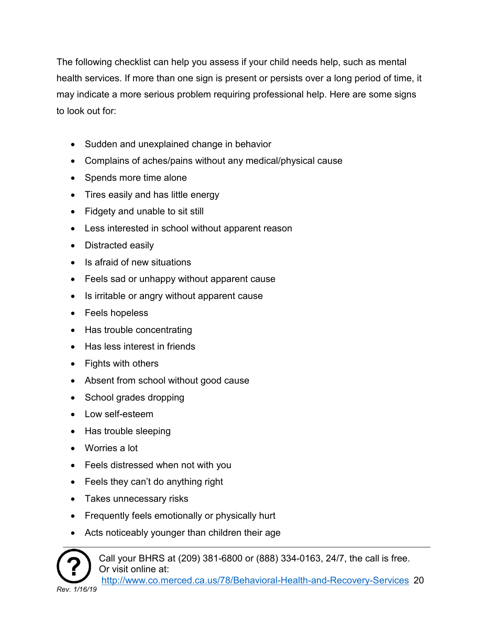The following checklist can help you assess if your child needs help, such as mental health services. If more than one sign is present or persists over a long period of time, it may indicate a more serious problem requiring professional help. Here are some signs to look out for:

- Sudden and unexplained change in behavior
- Complains of aches/pains without any medical/physical cause
- Spends more time alone
- Tires easily and has little energy
- Fidgety and unable to sit still
- Less interested in school without apparent reason
- Distracted easily
- Is afraid of new situations
- Feels sad or unhappy without apparent cause
- Is irritable or angry without apparent cause
- Feels hopeless
- Has trouble concentrating
- Has less interest in friends
- Fights with others
- Absent from school without good cause
- School grades dropping
- Low self-esteem
- Has trouble sleeping
- Worries a lot
- Feels distressed when not with you
- Feels they can't do anything right
- Takes unnecessary risks
- Frequently feels emotionally or physically hurt
- Acts noticeably younger than children their age

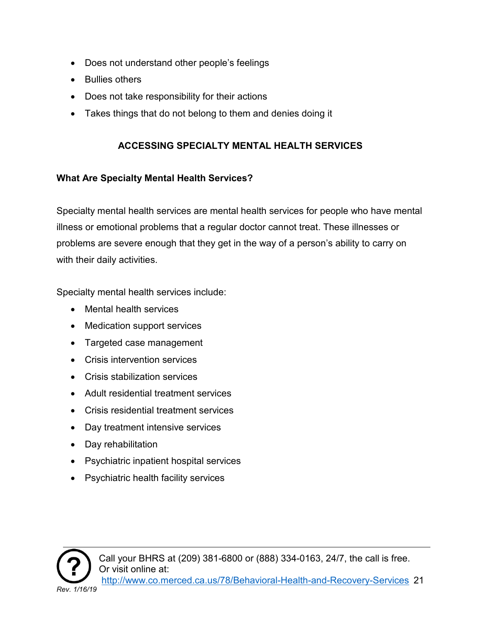- Does not understand other people's feelings
- Bullies others
- Does not take responsibility for their actions
- Takes things that do not belong to them and denies doing it

#### **ACCESSING SPECIALTY MENTAL HEALTH SERVICES**

#### <span id="page-20-0"></span>**What Are Specialty Mental Health Services?**

Specialty mental health services are mental health services for people who have mental illness or emotional problems that a regular doctor cannot treat. These illnesses or problems are severe enough that they get in the way of a person's ability to carry on with their daily activities.

Specialty mental health services include:

- Mental health services
- Medication support services
- Targeted case management
- Crisis intervention services
- Crisis stabilization services
- Adult residential treatment services
- Crisis residential treatment services
- Day treatment intensive services
- Day rehabilitation
- Psychiatric inpatient hospital services
- Psychiatric health facility services

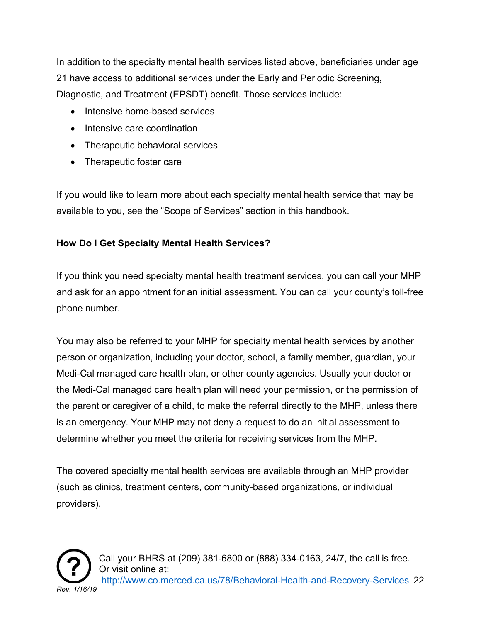In addition to the specialty mental health services listed above, beneficiaries under age 21 have access to additional services under the Early and Periodic Screening, Diagnostic, and Treatment (EPSDT) benefit. Those services include:

- Intensive home-based services
- Intensive care coordination
- Therapeutic behavioral services
- Therapeutic foster care

If you would like to learn more about each specialty mental health service that may be available to you, see the "Scope of Services" section in this handbook.

## **How Do I Get Specialty Mental Health Services?**

If you think you need specialty mental health treatment services, you can call your MHP and ask for an appointment for an initial assessment. You can call your county's toll-free phone number.

You may also be referred to your MHP for specialty mental health services by another person or organization, including your doctor, school, a family member, guardian, your Medi-Cal managed care health plan, or other county agencies. Usually your doctor or the Medi-Cal managed care health plan will need your permission, or the permission of the parent or caregiver of a child, to make the referral directly to the MHP, unless there is an emergency. Your MHP may not deny a request to do an initial assessment to determine whether you meet the criteria for receiving services from the MHP.

The covered specialty mental health services are available through an MHP provider (such as clinics, treatment centers, community-based organizations, or individual providers).

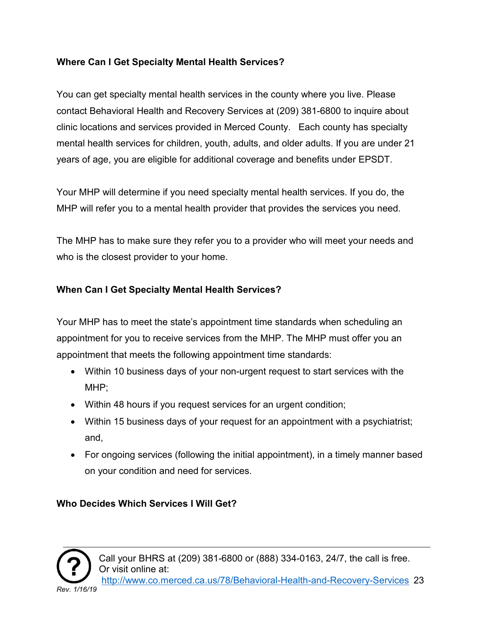#### **Where Can I Get Specialty Mental Health Services?**

You can get specialty mental health services in the county where you live. Please contact Behavioral Health and Recovery Services at (209) 381-6800 to inquire about clinic locations and services provided in Merced County. Each county has specialty mental health services for children, youth, adults, and older adults. If you are under 21 years of age, you are eligible for additional coverage and benefits under EPSDT.

Your MHP will determine if you need specialty mental health services. If you do, the MHP will refer you to a mental health provider that provides the services you need.

The MHP has to make sure they refer you to a provider who will meet your needs and who is the closest provider to your home.

#### **When Can I Get Specialty Mental Health Services?**

Your MHP has to meet the state's appointment time standards when scheduling an appointment for you to receive services from the MHP. The MHP must offer you an appointment that meets the following appointment time standards:

- Within 10 business days of your non-urgent request to start services with the MHP;
- Within 48 hours if you request services for an urgent condition;
- Within 15 business days of your request for an appointment with a psychiatrist; and,
- For ongoing services (following the initial appointment), in a timely manner based on your condition and need for services.

#### **Who Decides Which Services I Will Get?**

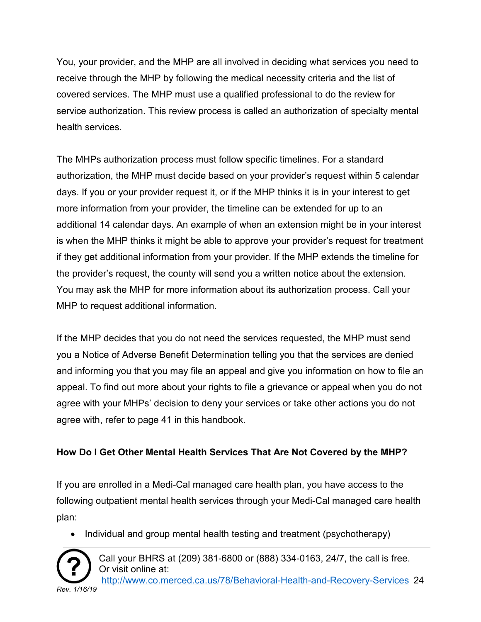You, your provider, and the MHP are all involved in deciding what services you need to receive through the MHP by following the medical necessity criteria and the list of covered services. The MHP must use a qualified professional to do the review for service authorization. This review process is called an authorization of specialty mental health services.

The MHPs authorization process must follow specific timelines. For a standard authorization, the MHP must decide based on your provider's request within 5 calendar days. If you or your provider request it, or if the MHP thinks it is in your interest to get more information from your provider, the timeline can be extended for up to an additional 14 calendar days. An example of when an extension might be in your interest is when the MHP thinks it might be able to approve your provider's request for treatment if they get additional information from your provider. If the MHP extends the timeline for the provider's request, the county will send you a written notice about the extension. You may ask the MHP for more information about its authorization process. Call your MHP to request additional information.

If the MHP decides that you do not need the services requested, the MHP must send you a Notice of Adverse Benefit Determination telling you that the services are denied and informing you that you may file an appeal and give you information on how to file an appeal. To find out more about your rights to file a grievance or appeal when you do not agree with your MHPs' decision to deny your services or take other actions you do not agree with, refer to page 41 in this handbook.

#### **How Do I Get Other Mental Health Services That Are Not Covered by the MHP?**

If you are enrolled in a Medi-Cal managed care health plan, you have access to the following outpatient mental health services through your Medi-Cal managed care health plan:

• Individual and group mental health testing and treatment (psychotherapy)



Call your BHRS at (209) 381-6800 or (888) 334-0163, 24/7, the call is free. Or visit online at:

[http://www.co.merced.ca.us/78/Behavioral-Health-and-Recovery-Services](http://www.co.merced.ca.us/78/Behavioral-Health-and-%20%20%20Recovery-Services) 24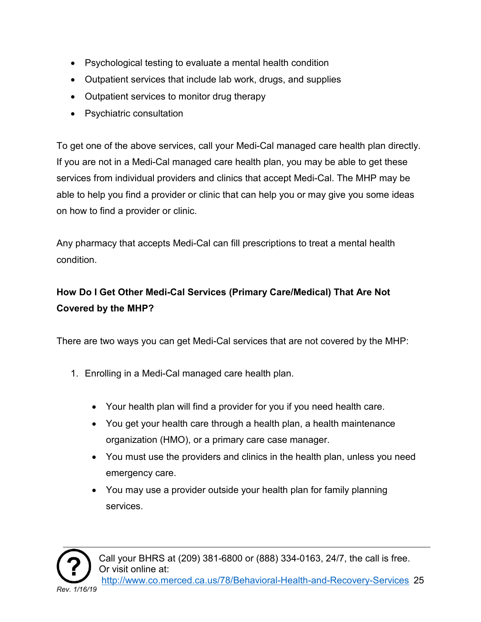- Psychological testing to evaluate a mental health condition
- Outpatient services that include lab work, drugs, and supplies
- Outpatient services to monitor drug therapy
- Psychiatric consultation

To get one of the above services, call your Medi-Cal managed care health plan directly. If you are not in a Medi-Cal managed care health plan, you may be able to get these services from individual providers and clinics that accept Medi-Cal. The MHP may be able to help you find a provider or clinic that can help you or may give you some ideas on how to find a provider or clinic.

Any pharmacy that accepts Medi-Cal can fill prescriptions to treat a mental health condition.

## **How Do I Get Other Medi-Cal Services (Primary Care/Medical) That Are Not Covered by the MHP?**

There are two ways you can get Medi-Cal services that are not covered by the MHP:

- 1. Enrolling in a Medi-Cal managed care health plan.
	- Your health plan will find a provider for you if you need health care.
	- You get your health care through a health plan, a health maintenance organization (HMO), or a primary care case manager.
	- You must use the providers and clinics in the health plan, unless you need emergency care.
	- You may use a provider outside your health plan for family planning services.



Call your BHRS at (209) 381-6800 or (888) 334-0163, 24/7, the call is free. Or visit online at: [http://www.co.merced.ca.us/78/Behavioral-Health-and-Recovery-Services](http://www.co.merced.ca.us/78/Behavioral-Health-and-%20%20%20Recovery-Services) 25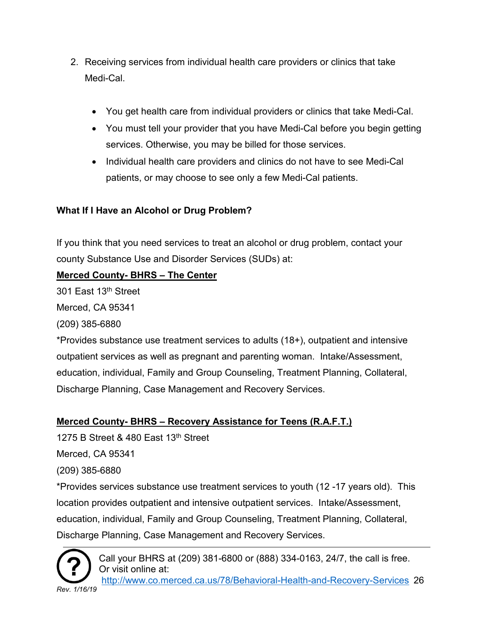- 2. Receiving services from individual health care providers or clinics that take Medi-Cal.
	- You get health care from individual providers or clinics that take Medi-Cal.
	- You must tell your provider that you have Medi-Cal before you begin getting services. Otherwise, you may be billed for those services.
	- Individual health care providers and clinics do not have to see Medi-Cal patients, or may choose to see only a few Medi-Cal patients.

#### **What If I Have an Alcohol or Drug Problem?**

If you think that you need services to treat an alcohol or drug problem, contact your county Substance Use and Disorder Services (SUDs) at:

#### **Merced County- BHRS – The Center**

301 East 13<sup>th</sup> Street

Merced, CA 95341

(209) 385-6880

\*Provides substance use treatment services to adults (18+), outpatient and intensive outpatient services as well as pregnant and parenting woman. Intake/Assessment, education, individual, Family and Group Counseling, Treatment Planning, Collateral, Discharge Planning, Case Management and Recovery Services.

#### **Merced County- BHRS – Recovery Assistance for Teens (R.A.F.T.)**

1275 B Street & 480 East 13th Street

Merced, CA 95341

(209) 385-6880

\*Provides services substance use treatment services to youth (12 -17 years old). This location provides outpatient and intensive outpatient services. Intake/Assessment, education, individual, Family and Group Counseling, Treatment Planning, Collateral, Discharge Planning, Case Management and Recovery Services.



Call your BHRS at (209) 381-6800 or (888) 334-0163, 24/7, the call is free. Or visit online at:

[http://www.co.merced.ca.us/78/Behavioral-Health-and-Recovery-Services](http://www.co.merced.ca.us/78/Behavioral-Health-and-%20%20%20Recovery-Services) 26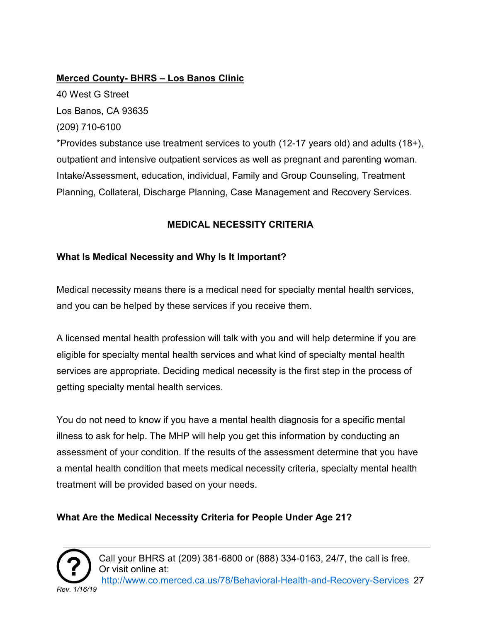#### **Merced County- BHRS – Los Banos Clinic**

40 West G Street Los Banos, CA 93635 (209) 710-6100 \*Provides substance use treatment services to youth (12-17 years old) and adults (18+), outpatient and intensive outpatient services as well as pregnant and parenting woman. Intake/Assessment, education, individual, Family and Group Counseling, Treatment Planning, Collateral, Discharge Planning, Case Management and Recovery Services.

#### **MEDICAL NECESSITY CRITERIA**

#### <span id="page-26-0"></span>**What Is Medical Necessity and Why Is It Important?**

Medical necessity means there is a medical need for specialty mental health services, and you can be helped by these services if you receive them.

A licensed mental health profession will talk with you and will help determine if you are eligible for specialty mental health services and what kind of specialty mental health services are appropriate. Deciding medical necessity is the first step in the process of getting specialty mental health services.

You do not need to know if you have a mental health diagnosis for a specific mental illness to ask for help. The MHP will help you get this information by conducting an assessment of your condition. If the results of the assessment determine that you have a mental health condition that meets medical necessity criteria, specialty mental health treatment will be provided based on your needs.

#### **What Are the Medical Necessity Criteria for People Under Age 21?**



Call your BHRS at (209) 381-6800 or (888) 334-0163, 24/7, the call is free. Or visit online at: [http://www.co.merced.ca.us/78/Behavioral-Health-and-Recovery-Services](http://www.co.merced.ca.us/78/Behavioral-Health-and-%20%20%20Recovery-Services) 27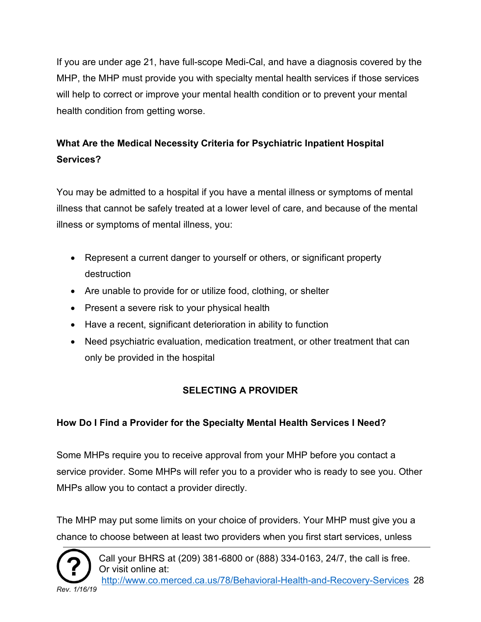If you are under age 21, have full-scope Medi-Cal, and have a diagnosis covered by the MHP, the MHP must provide you with specialty mental health services if those services will help to correct or improve your mental health condition or to prevent your mental health condition from getting worse.

## **What Are the Medical Necessity Criteria for Psychiatric Inpatient Hospital Services?**

You may be admitted to a hospital if you have a mental illness or symptoms of mental illness that cannot be safely treated at a lower level of care, and because of the mental illness or symptoms of mental illness, you:

- Represent a current danger to yourself or others, or significant property destruction
- Are unable to provide for or utilize food, clothing, or shelter
- Present a severe risk to your physical health
- Have a recent, significant deterioration in ability to function
- Need psychiatric evaluation, medication treatment, or other treatment that can only be provided in the hospital

## **SELECTING A PROVIDER**

## <span id="page-27-0"></span>**How Do I Find a Provider for the Specialty Mental Health Services I Need?**

Some MHPs require you to receive approval from your MHP before you contact a service provider. Some MHPs will refer you to a provider who is ready to see you. Other MHPs allow you to contact a provider directly.

The MHP may put some limits on your choice of providers. Your MHP must give you a chance to choose between at least two providers when you first start services, unless



Call your BHRS at (209) 381-6800 or (888) 334-0163, 24/7, the call is free. Or visit online at:

[http://www.co.merced.ca.us/78/Behavioral-Health-and-Recovery-Services](http://www.co.merced.ca.us/78/Behavioral-Health-and-%20%20%20Recovery-Services) 28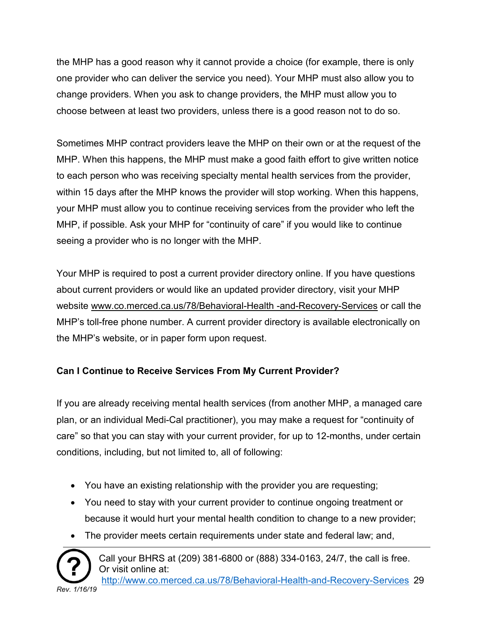the MHP has a good reason why it cannot provide a choice (for example, there is only one provider who can deliver the service you need). Your MHP must also allow you to change providers. When you ask to change providers, the MHP must allow you to choose between at least two providers, unless there is a good reason not to do so.

Sometimes MHP contract providers leave the MHP on their own or at the request of the MHP. When this happens, the MHP must make a good faith effort to give written notice to each person who was receiving specialty mental health services from the provider, within 15 days after the MHP knows the provider will stop working. When this happens, your MHP must allow you to continue receiving services from the provider who left the MHP, if possible. Ask your MHP for "continuity of care" if you would like to continue seeing a provider who is no longer with the MHP.

Your MHP is required to post a current provider directory online. If you have questions about current providers or would like an updated provider directory, visit your MHP website www.co.merced.ca.us/78/Behavioral-Health -and-Recovery-Services or call the MHP's toll-free phone number. A current provider directory is available electronically on the MHP's website, or in paper form upon request.

## **Can I Continue to Receive Services From My Current Provider?**

If you are already receiving mental health services (from another MHP, a managed care plan, or an individual Medi-Cal practitioner), you may make a request for "continuity of care" so that you can stay with your current provider, for up to 12-months, under certain conditions, including, but not limited to, all of following:

- You have an existing relationship with the provider you are requesting;
- You need to stay with your current provider to continue ongoing treatment or because it would hurt your mental health condition to change to a new provider;
- The provider meets certain requirements under state and federal law; and,



Call your BHRS at (209) 381-6800 or (888) 334-0163, 24/7, the call is free. Or visit online at:

[http://www.co.merced.ca.us/78/Behavioral-Health-and-Recovery-Services](http://www.co.merced.ca.us/78/Behavioral-Health-and-%20%20%20Recovery-Services) 29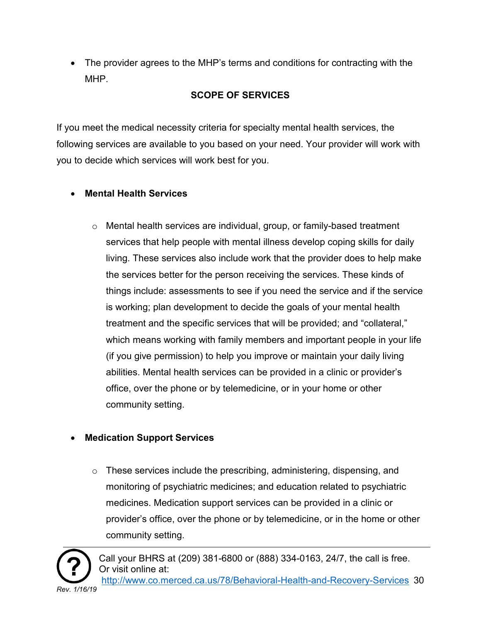• The provider agrees to the MHP's terms and conditions for contracting with the MHP.

#### **SCOPE OF SERVICES**

<span id="page-29-0"></span>If you meet the medical necessity criteria for specialty mental health services, the following services are available to you based on your need. Your provider will work with you to decide which services will work best for you.

#### • **Mental Health Services**

 $\circ$  Mental health services are individual, group, or family-based treatment services that help people with mental illness develop coping skills for daily living. These services also include work that the provider does to help make the services better for the person receiving the services. These kinds of things include: assessments to see if you need the service and if the service is working; plan development to decide the goals of your mental health treatment and the specific services that will be provided; and "collateral," which means working with family members and important people in your life (if you give permission) to help you improve or maintain your daily living abilities. Mental health services can be provided in a clinic or provider's office, over the phone or by telemedicine, or in your home or other community setting.

## • **Medication Support Services**

o These services include the prescribing, administering, dispensing, and monitoring of psychiatric medicines; and education related to psychiatric medicines. Medication support services can be provided in a clinic or provider's office, over the phone or by telemedicine, or in the home or other community setting.

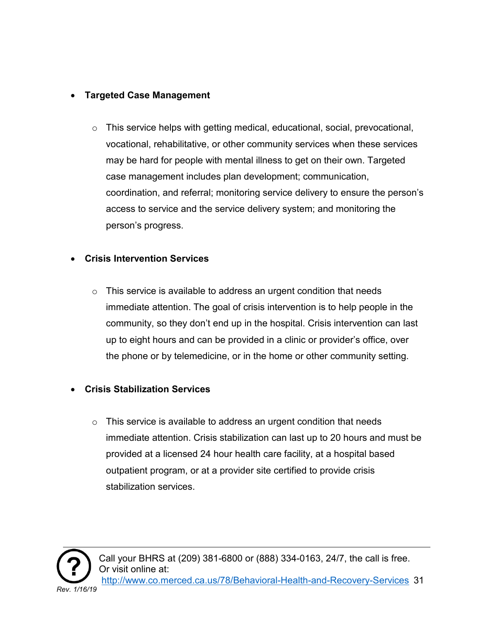#### • **Targeted Case Management**

o This service helps with getting medical, educational, social, prevocational, vocational, rehabilitative, or other community services when these services may be hard for people with mental illness to get on their own. Targeted case management includes plan development; communication, coordination, and referral; monitoring service delivery to ensure the person's access to service and the service delivery system; and monitoring the person's progress.

#### • **Crisis Intervention Services**

 $\circ$  This service is available to address an urgent condition that needs immediate attention. The goal of crisis intervention is to help people in the community, so they don't end up in the hospital. Crisis intervention can last up to eight hours and can be provided in a clinic or provider's office, over the phone or by telemedicine, or in the home or other community setting.

#### • **Crisis Stabilization Services**

 $\circ$  This service is available to address an urgent condition that needs immediate attention. Crisis stabilization can last up to 20 hours and must be provided at a licensed 24 hour health care facility, at a hospital based outpatient program, or at a provider site certified to provide crisis stabilization services.

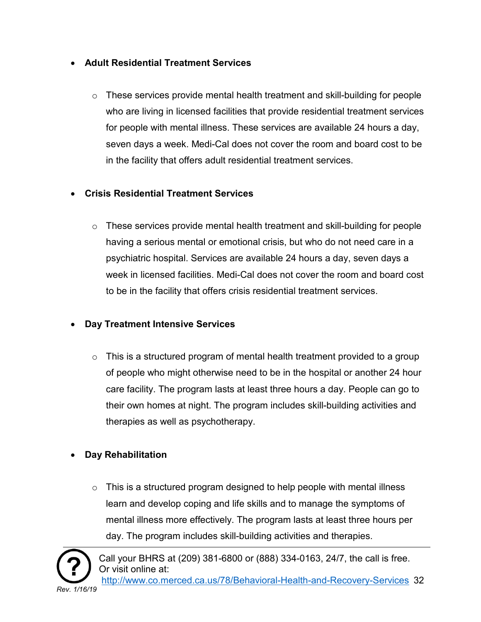#### • **Adult Residential Treatment Services**

 $\circ$  These services provide mental health treatment and skill-building for people who are living in licensed facilities that provide residential treatment services for people with mental illness. These services are available 24 hours a day, seven days a week. Medi-Cal does not cover the room and board cost to be in the facility that offers adult residential treatment services.

#### • **Crisis Residential Treatment Services**

 $\circ$  These services provide mental health treatment and skill-building for people having a serious mental or emotional crisis, but who do not need care in a psychiatric hospital. Services are available 24 hours a day, seven days a week in licensed facilities. Medi-Cal does not cover the room and board cost to be in the facility that offers crisis residential treatment services.

#### • **Day Treatment Intensive Services**

 $\circ$  This is a structured program of mental health treatment provided to a group of people who might otherwise need to be in the hospital or another 24 hour care facility. The program lasts at least three hours a day. People can go to their own homes at night. The program includes skill-building activities and therapies as well as psychotherapy.

## • **Day Rehabilitation**

 $\circ$  This is a structured program designed to help people with mental illness learn and develop coping and life skills and to manage the symptoms of mental illness more effectively. The program lasts at least three hours per day. The program includes skill-building activities and therapies.

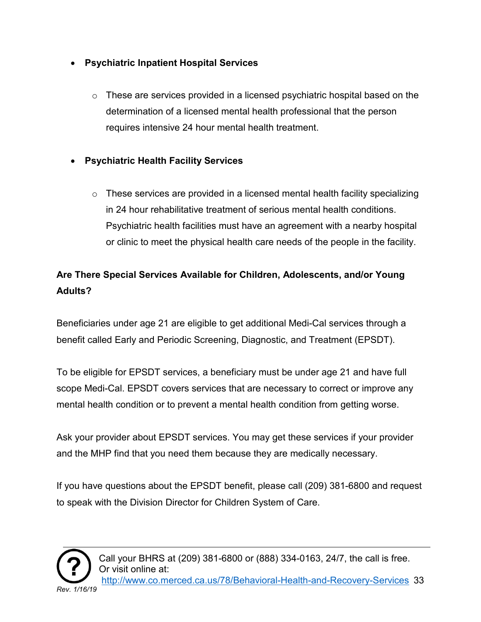#### • **Psychiatric Inpatient Hospital Services**

- $\circ$  These are services provided in a licensed psychiatric hospital based on the determination of a licensed mental health professional that the person requires intensive 24 hour mental health treatment.
- **Psychiatric Health Facility Services**
	- $\circ$  These services are provided in a licensed mental health facility specializing in 24 hour rehabilitative treatment of serious mental health conditions. Psychiatric health facilities must have an agreement with a nearby hospital or clinic to meet the physical health care needs of the people in the facility.

## **Are There Special Services Available for Children, Adolescents, and/or Young Adults?**

Beneficiaries under age 21 are eligible to get additional Medi-Cal services through a benefit called Early and Periodic Screening, Diagnostic, and Treatment (EPSDT).

To be eligible for EPSDT services, a beneficiary must be under age 21 and have full scope Medi-Cal. EPSDT covers services that are necessary to correct or improve any mental health condition or to prevent a mental health condition from getting worse.

Ask your provider about EPSDT services. You may get these services if your provider and the MHP find that you need them because they are medically necessary.

If you have questions about the EPSDT benefit, please call (209) 381-6800 and request to speak with the Division Director for Children System of Care.

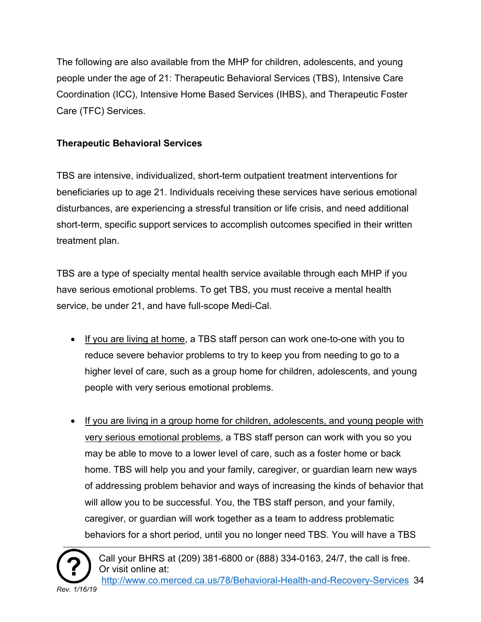The following are also available from the MHP for children, adolescents, and young people under the age of 21: Therapeutic Behavioral Services (TBS), Intensive Care Coordination (ICC), Intensive Home Based Services (IHBS), and Therapeutic Foster Care (TFC) Services.

#### **Therapeutic Behavioral Services**

TBS are intensive, individualized, short-term outpatient treatment interventions for beneficiaries up to age 21. Individuals receiving these services have serious emotional disturbances, are experiencing a stressful transition or life crisis, and need additional short-term, specific support services to accomplish outcomes specified in their written treatment plan.

TBS are a type of specialty mental health service available through each MHP if you have serious emotional problems. To get TBS, you must receive a mental health service, be under 21, and have full-scope Medi-Cal.

- If you are living at home, a TBS staff person can work one-to-one with you to reduce severe behavior problems to try to keep you from needing to go to a higher level of care, such as a group home for children, adolescents, and young people with very serious emotional problems.
- If you are living in a group home for children, adolescents, and young people with very serious emotional problems, a TBS staff person can work with you so you may be able to move to a lower level of care, such as a foster home or back home. TBS will help you and your family, caregiver, or guardian learn new ways of addressing problem behavior and ways of increasing the kinds of behavior that will allow you to be successful. You, the TBS staff person, and your family, caregiver, or guardian will work together as a team to address problematic behaviors for a short period, until you no longer need TBS. You will have a TBS

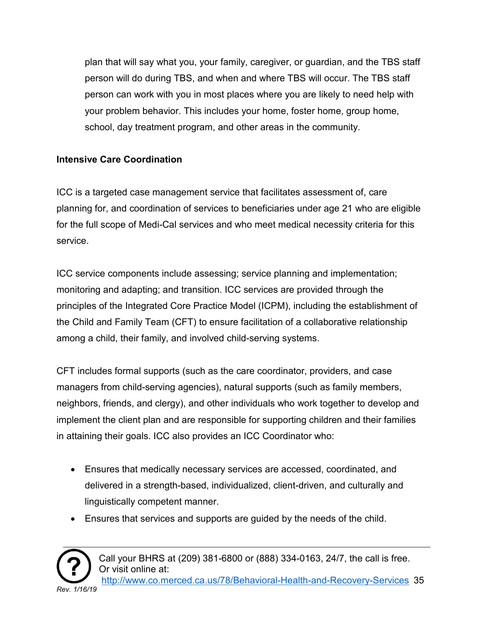plan that will say what you, your family, caregiver, or guardian, and the TBS staff person will do during TBS, and when and where TBS will occur. The TBS staff person can work with you in most places where you are likely to need help with your problem behavior. This includes your home, foster home, group home, school, day treatment program, and other areas in the community.

#### **Intensive Care Coordination**

ICC is a targeted case management service that facilitates assessment of, care planning for, and coordination of services to beneficiaries under age 21 who are eligible for the full scope of Medi-Cal services and who meet medical necessity criteria for this service.

ICC service components include assessing; service planning and implementation; monitoring and adapting; and transition. ICC services are provided through the principles of the Integrated Core Practice Model (ICPM), including the establishment of the Child and Family Team (CFT) to ensure facilitation of a collaborative relationship among a child, their family, and involved child-serving systems.

CFT includes formal supports (such as the care coordinator, providers, and case managers from child-serving agencies), natural supports (such as family members, neighbors, friends, and clergy), and other individuals who work together to develop and implement the client plan and are responsible for supporting children and their families in attaining their goals. ICC also provides an ICC Coordinator who:

- Ensures that medically necessary services are accessed, coordinated, and delivered in a strength-based, individualized, client-driven, and culturally and linguistically competent manner.
- Ensures that services and supports are guided by the needs of the child.

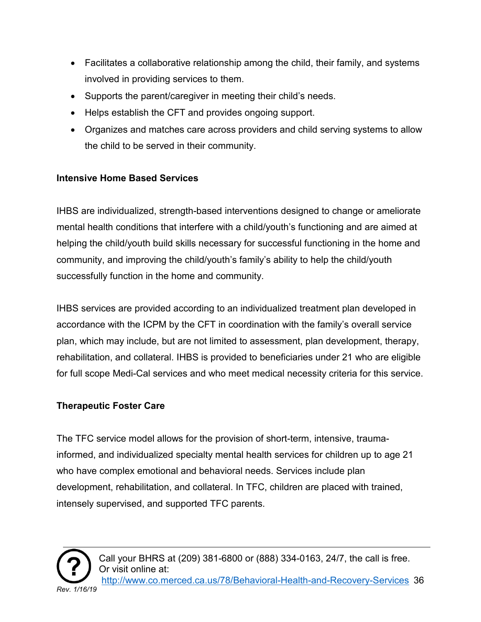- Facilitates a collaborative relationship among the child, their family, and systems involved in providing services to them.
- Supports the parent/caregiver in meeting their child's needs.
- Helps establish the CFT and provides ongoing support.
- Organizes and matches care across providers and child serving systems to allow the child to be served in their community.

#### **Intensive Home Based Services**

IHBS are individualized, strength-based interventions designed to change or ameliorate mental health conditions that interfere with a child/youth's functioning and are aimed at helping the child/youth build skills necessary for successful functioning in the home and community, and improving the child/youth's family's ability to help the child/youth successfully function in the home and community.

IHBS services are provided according to an individualized treatment plan developed in accordance with the ICPM by the CFT in coordination with the family's overall service plan, which may include, but are not limited to assessment, plan development, therapy, rehabilitation, and collateral. IHBS is provided to beneficiaries under 21 who are eligible for full scope Medi-Cal services and who meet medical necessity criteria for this service.

#### **Therapeutic Foster Care**

The TFC service model allows for the provision of short-term, intensive, traumainformed, and individualized specialty mental health services for children up to age 21 who have complex emotional and behavioral needs. Services include plan development, rehabilitation, and collateral. In TFC, children are placed with trained, intensely supervised, and supported TFC parents.

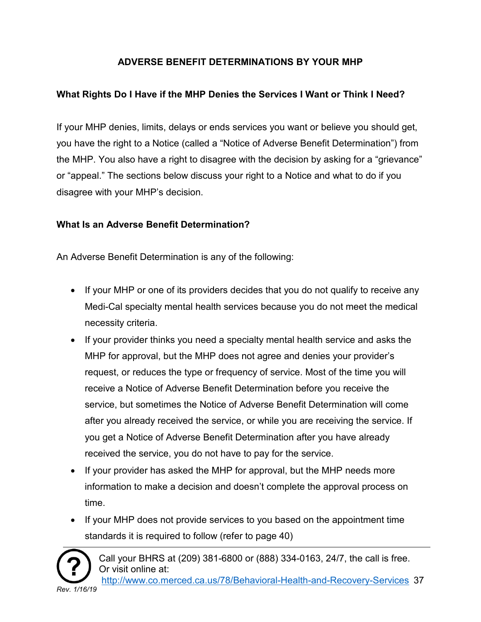#### **ADVERSE BENEFIT DETERMINATIONS BY YOUR MHP**

#### <span id="page-36-0"></span>**What Rights Do I Have if the MHP Denies the Services I Want or Think I Need?**

If your MHP denies, limits, delays or ends services you want or believe you should get, you have the right to a Notice (called a "Notice of Adverse Benefit Determination") from the MHP. You also have a right to disagree with the decision by asking for a "grievance" or "appeal." The sections below discuss your right to a Notice and what to do if you disagree with your MHP's decision.

#### **What Is an Adverse Benefit Determination?**

An Adverse Benefit Determination is any of the following:

- If your MHP or one of its providers decides that you do not qualify to receive any Medi-Cal specialty mental health services because you do not meet the medical necessity criteria.
- If your provider thinks you need a specialty mental health service and asks the MHP for approval, but the MHP does not agree and denies your provider's request, or reduces the type or frequency of service. Most of the time you will receive a Notice of Adverse Benefit Determination before you receive the service, but sometimes the Notice of Adverse Benefit Determination will come after you already received the service, or while you are receiving the service. If you get a Notice of Adverse Benefit Determination after you have already received the service, you do not have to pay for the service.
- If your provider has asked the MHP for approval, but the MHP needs more information to make a decision and doesn't complete the approval process on time.
- If your MHP does not provide services to you based on the appointment time standards it is required to follow (refer to page 40)

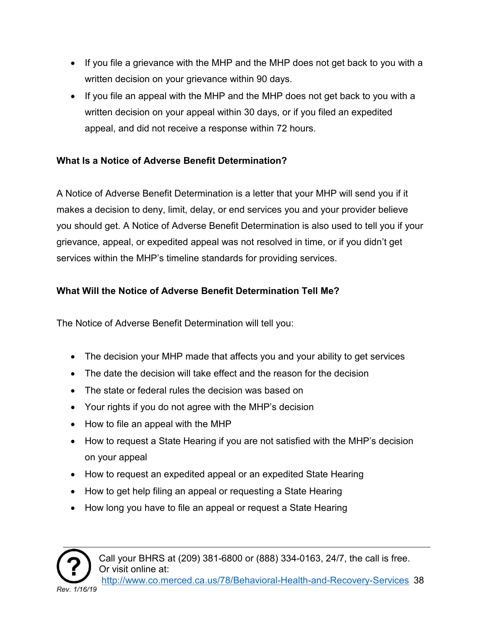- If you file a grievance with the MHP and the MHP does not get back to you with a written decision on your grievance within 90 days.
- If you file an appeal with the MHP and the MHP does not get back to you with a written decision on your appeal within 30 days, or if you filed an expedited appeal, and did not receive a response within 72 hours.

#### **What Is a Notice of Adverse Benefit Determination?**

A Notice of Adverse Benefit Determination is a letter that your MHP will send you if it makes a decision to deny, limit, delay, or end services you and your provider believe you should get. A Notice of Adverse Benefit Determination is also used to tell you if your grievance, appeal, or expedited appeal was not resolved in time, or if you didn't get services within the MHP's timeline standards for providing services.

#### **What Will the Notice of Adverse Benefit Determination Tell Me?**

The Notice of Adverse Benefit Determination will tell you:

- The decision your MHP made that affects you and your ability to get services
- The date the decision will take effect and the reason for the decision
- The state or federal rules the decision was based on
- Your rights if you do not agree with the MHP's decision
- How to file an appeal with the MHP
- How to request a State Hearing if you are not satisfied with the MHP's decision on your appeal
- How to request an expedited appeal or an expedited State Hearing
- How to get help filing an appeal or requesting a State Hearing
- How long you have to file an appeal or request a State Hearing

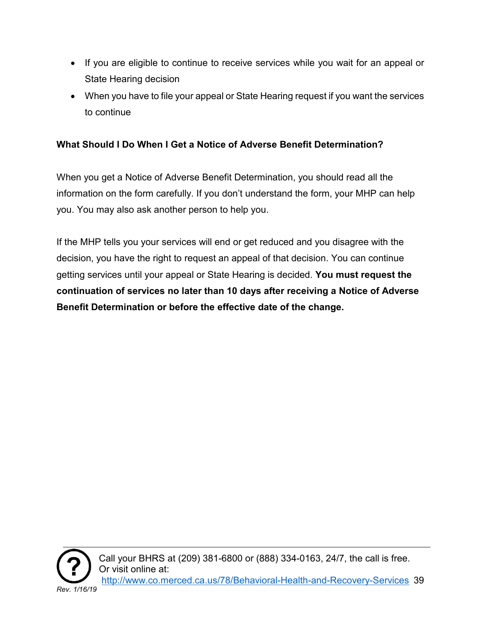- If you are eligible to continue to receive services while you wait for an appeal or State Hearing decision
- When you have to file your appeal or State Hearing request if you want the services to continue

#### **What Should I Do When I Get a Notice of Adverse Benefit Determination?**

When you get a Notice of Adverse Benefit Determination, you should read all the information on the form carefully. If you don't understand the form, your MHP can help you. You may also ask another person to help you.

If the MHP tells you your services will end or get reduced and you disagree with the decision, you have the right to request an appeal of that decision. You can continue getting services until your appeal or State Hearing is decided. **You must request the continuation of services no later than 10 days after receiving a Notice of Adverse Benefit Determination or before the effective date of the change.**

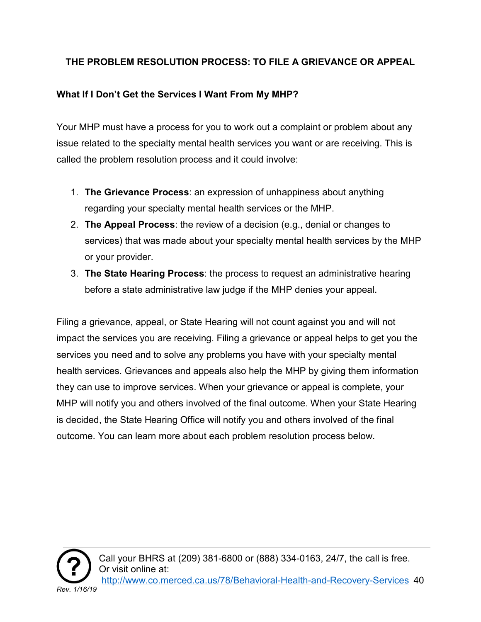#### <span id="page-39-0"></span>**THE PROBLEM RESOLUTION PROCESS: TO FILE A GRIEVANCE OR APPEAL**

#### **What If I Don't Get the Services I Want From My MHP?**

Your MHP must have a process for you to work out a complaint or problem about any issue related to the specialty mental health services you want or are receiving. This is called the problem resolution process and it could involve:

- 1. **The Grievance Process**: an expression of unhappiness about anything regarding your specialty mental health services or the MHP.
- 2. **The Appeal Process**: the review of a decision (e.g., denial or changes to services) that was made about your specialty mental health services by the MHP or your provider.
- 3. **The State Hearing Process**: the process to request an administrative hearing before a state administrative law judge if the MHP denies your appeal.

Filing a grievance, appeal, or State Hearing will not count against you and will not impact the services you are receiving. Filing a grievance or appeal helps to get you the services you need and to solve any problems you have with your specialty mental health services. Grievances and appeals also help the MHP by giving them information they can use to improve services. When your grievance or appeal is complete, your MHP will notify you and others involved of the final outcome. When your State Hearing is decided, the State Hearing Office will notify you and others involved of the final outcome. You can learn more about each problem resolution process below.

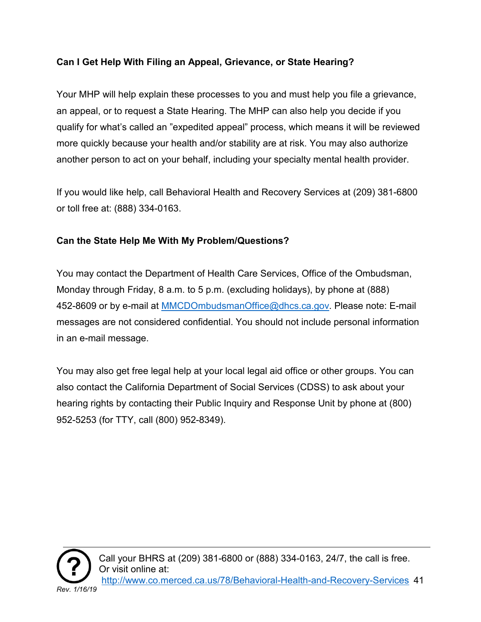#### **Can I Get Help With Filing an Appeal, Grievance, or State Hearing?**

Your MHP will help explain these processes to you and must help you file a grievance, an appeal, or to request a State Hearing. The MHP can also help you decide if you qualify for what's called an "expedited appeal" process, which means it will be reviewed more quickly because your health and/or stability are at risk. You may also authorize another person to act on your behalf, including your specialty mental health provider.

If you would like help, call Behavioral Health and Recovery Services at (209) 381-6800 or toll free at: (888) 334-0163.

#### **Can the State Help Me With My Problem/Questions?**

You may contact the Department of Health Care Services, Office of the Ombudsman, Monday through Friday, 8 a.m. to 5 p.m. (excluding holidays), by phone at (888) 452-8609 or by e-mail at [MMCDOmbudsmanOffice@dhcs.ca.gov.](mailto:MMCDOmbudsmanOffice@dhcs.ca.gov) Please note: E-mail messages are not considered confidential. You should not include personal information in an e-mail message.

You may also get free legal help at your local legal aid office or other groups. You can also contact the California Department of Social Services (CDSS) to ask about your hearing rights by contacting their Public Inquiry and Response Unit by phone at (800) 952-5253 (for TTY, call (800) 952-8349).

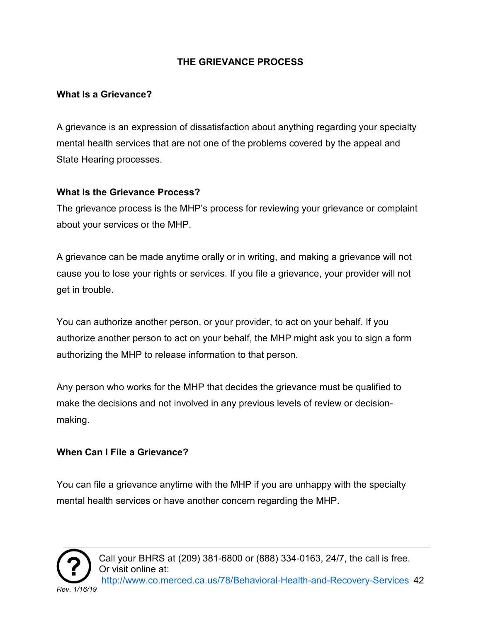#### **THE GRIEVANCE PROCESS**

#### <span id="page-41-0"></span>**What Is a Grievance?**

A grievance is an expression of dissatisfaction about anything regarding your specialty mental health services that are not one of the problems covered by the appeal and State Hearing processes.

#### **What Is the Grievance Process?**

The grievance process is the MHP's process for reviewing your grievance or complaint about your services or the MHP.

A grievance can be made anytime orally or in writing, and making a grievance will not cause you to lose your rights or services. If you file a grievance, your provider will not get in trouble.

You can authorize another person, or your provider, to act on your behalf. If you authorize another person to act on your behalf, the MHP might ask you to sign a form authorizing the MHP to release information to that person.

Any person who works for the MHP that decides the grievance must be qualified to make the decisions and not involved in any previous levels of review or decisionmaking.

#### **When Can I File a Grievance?**

You can file a grievance anytime with the MHP if you are unhappy with the specialty mental health services or have another concern regarding the MHP.

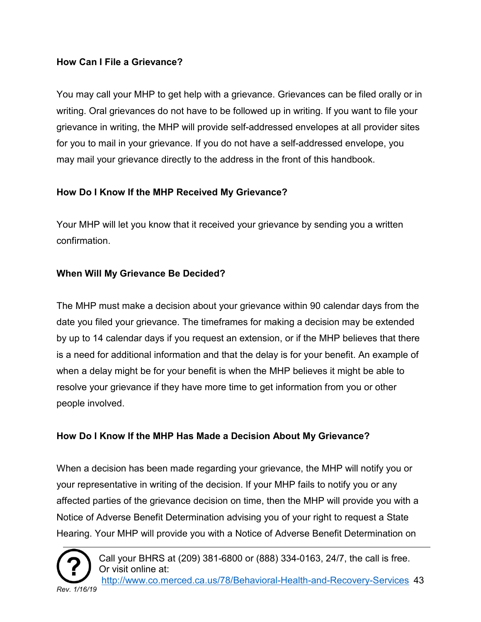#### **How Can I File a Grievance?**

You may call your MHP to get help with a grievance. Grievances can be filed orally or in writing. Oral grievances do not have to be followed up in writing. If you want to file your grievance in writing, the MHP will provide self-addressed envelopes at all provider sites for you to mail in your grievance. If you do not have a self-addressed envelope, you may mail your grievance directly to the address in the front of this handbook.

#### **How Do I Know If the MHP Received My Grievance?**

Your MHP will let you know that it received your grievance by sending you a written confirmation.

#### **When Will My Grievance Be Decided?**

The MHP must make a decision about your grievance within 90 calendar days from the date you filed your grievance. The timeframes for making a decision may be extended by up to 14 calendar days if you request an extension, or if the MHP believes that there is a need for additional information and that the delay is for your benefit. An example of when a delay might be for your benefit is when the MHP believes it might be able to resolve your grievance if they have more time to get information from you or other people involved.

#### **How Do I Know If the MHP Has Made a Decision About My Grievance?**

When a decision has been made regarding your grievance, the MHP will notify you or your representative in writing of the decision. If your MHP fails to notify you or any affected parties of the grievance decision on time, then the MHP will provide you with a Notice of Adverse Benefit Determination advising you of your right to request a State Hearing. Your MHP will provide you with a Notice of Adverse Benefit Determination on

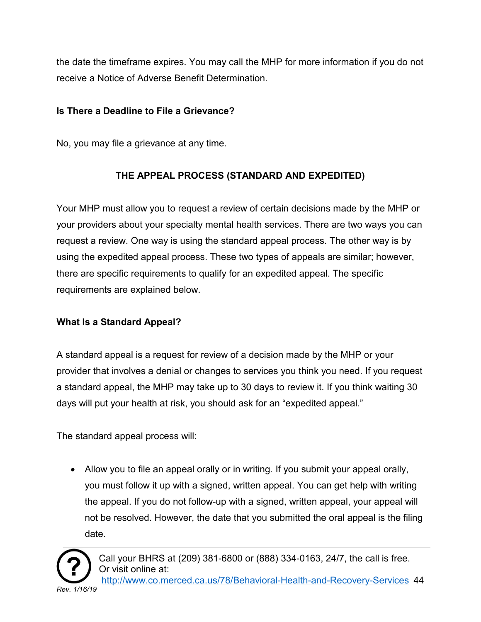the date the timeframe expires. You may call the MHP for more information if you do not receive a Notice of Adverse Benefit Determination.

#### **Is There a Deadline to File a Grievance?**

No, you may file a grievance at any time.

#### **THE APPEAL PROCESS (STANDARD AND EXPEDITED)**

<span id="page-43-0"></span>Your MHP must allow you to request a review of certain decisions made by the MHP or your providers about your specialty mental health services. There are two ways you can request a review. One way is using the standard appeal process. The other way is by using the expedited appeal process. These two types of appeals are similar; however, there are specific requirements to qualify for an expedited appeal. The specific requirements are explained below.

#### **What Is a Standard Appeal?**

A standard appeal is a request for review of a decision made by the MHP or your provider that involves a denial or changes to services you think you need. If you request a standard appeal, the MHP may take up to 30 days to review it. If you think waiting 30 days will put your health at risk, you should ask for an "expedited appeal."

The standard appeal process will:

• Allow you to file an appeal orally or in writing. If you submit your appeal orally, you must follow it up with a signed, written appeal. You can get help with writing the appeal. If you do not follow-up with a signed, written appeal, your appeal will not be resolved. However, the date that you submitted the oral appeal is the filing date.

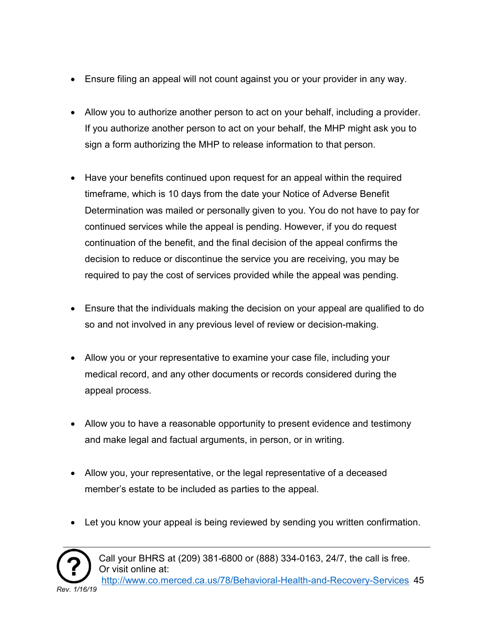- Ensure filing an appeal will not count against you or your provider in any way.
- Allow you to authorize another person to act on your behalf, including a provider. If you authorize another person to act on your behalf, the MHP might ask you to sign a form authorizing the MHP to release information to that person.
- Have your benefits continued upon request for an appeal within the required timeframe, which is 10 days from the date your Notice of Adverse Benefit Determination was mailed or personally given to you. You do not have to pay for continued services while the appeal is pending. However, if you do request continuation of the benefit, and the final decision of the appeal confirms the decision to reduce or discontinue the service you are receiving, you may be required to pay the cost of services provided while the appeal was pending.
- Ensure that the individuals making the decision on your appeal are qualified to do so and not involved in any previous level of review or decision-making.
- Allow you or your representative to examine your case file, including your medical record, and any other documents or records considered during the appeal process.
- Allow you to have a reasonable opportunity to present evidence and testimony and make legal and factual arguments, in person, or in writing.
- Allow you, your representative, or the legal representative of a deceased member's estate to be included as parties to the appeal.
- Let you know your appeal is being reviewed by sending you written confirmation.



Call your BHRS at (209) 381-6800 or (888) 334-0163, 24/7, the call is free. Or visit online at: [http://www.co.merced.ca.us/78/Behavioral-Health-and-Recovery-Services](http://www.co.merced.ca.us/78/Behavioral-Health-and-%20%20%20Recovery-Services) 45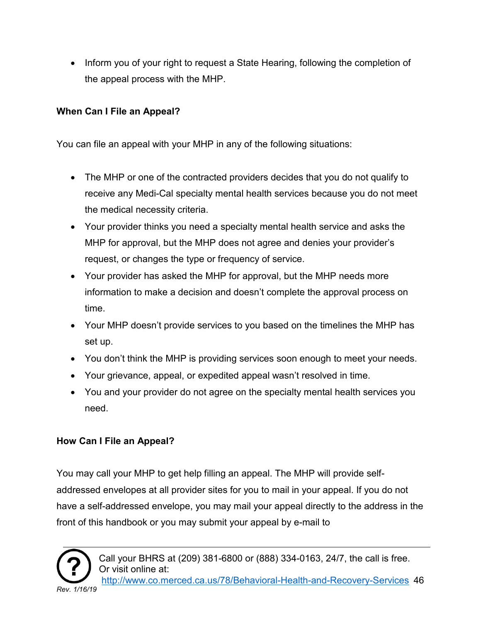• Inform you of your right to request a State Hearing, following the completion of the appeal process with the MHP.

#### **When Can I File an Appeal?**

You can file an appeal with your MHP in any of the following situations:

- The MHP or one of the contracted providers decides that you do not qualify to receive any Medi-Cal specialty mental health services because you do not meet the medical necessity criteria.
- Your provider thinks you need a specialty mental health service and asks the MHP for approval, but the MHP does not agree and denies your provider's request, or changes the type or frequency of service.
- Your provider has asked the MHP for approval, but the MHP needs more information to make a decision and doesn't complete the approval process on time.
- Your MHP doesn't provide services to you based on the timelines the MHP has set up.
- You don't think the MHP is providing services soon enough to meet your needs.
- Your grievance, appeal, or expedited appeal wasn't resolved in time.
- You and your provider do not agree on the specialty mental health services you need.

#### **How Can I File an Appeal?**

You may call your MHP to get help filling an appeal. The MHP will provide selfaddressed envelopes at all provider sites for you to mail in your appeal. If you do not have a self-addressed envelope, you may mail your appeal directly to the address in the front of this handbook or you may submit your appeal by e-mail to

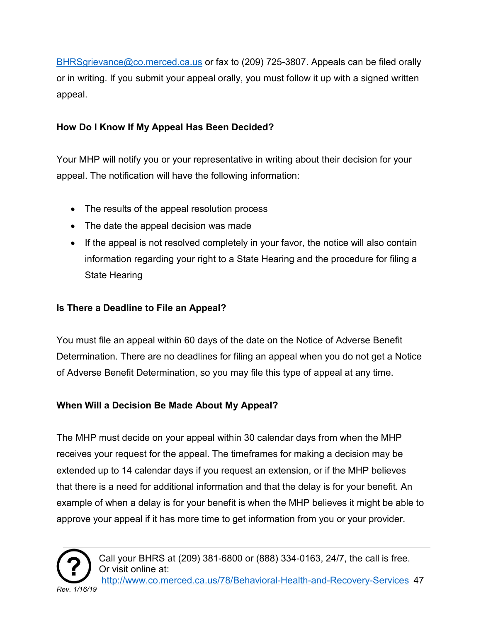[BHRSgrievance@co.merced.ca.us](mailto:BHRSgrievance@co.merced.ca.us) or fax to (209) 725-3807. Appeals can be filed orally or in writing. If you submit your appeal orally, you must follow it up with a signed written appeal.

#### **How Do I Know If My Appeal Has Been Decided?**

Your MHP will notify you or your representative in writing about their decision for your appeal. The notification will have the following information:

- The results of the appeal resolution process
- The date the appeal decision was made
- If the appeal is not resolved completely in your favor, the notice will also contain information regarding your right to a State Hearing and the procedure for filing a State Hearing

#### **Is There a Deadline to File an Appeal?**

You must file an appeal within 60 days of the date on the Notice of Adverse Benefit Determination. There are no deadlines for filing an appeal when you do not get a Notice of Adverse Benefit Determination, so you may file this type of appeal at any time.

#### **When Will a Decision Be Made About My Appeal?**

The MHP must decide on your appeal within 30 calendar days from when the MHP receives your request for the appeal. The timeframes for making a decision may be extended up to 14 calendar days if you request an extension, or if the MHP believes that there is a need for additional information and that the delay is for your benefit. An example of when a delay is for your benefit is when the MHP believes it might be able to approve your appeal if it has more time to get information from you or your provider.

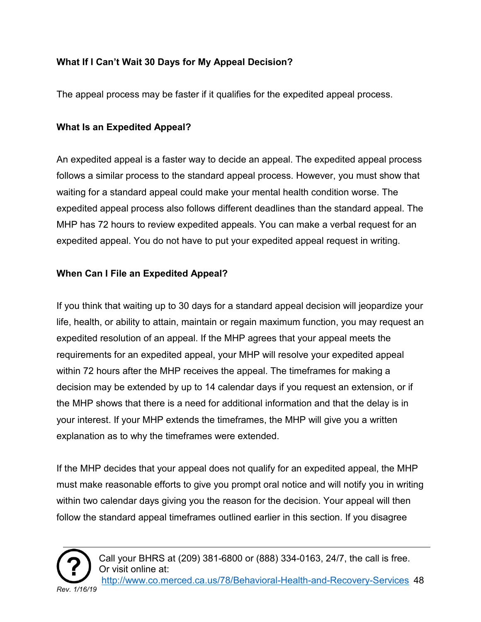#### **What If I Can't Wait 30 Days for My Appeal Decision?**

The appeal process may be faster if it qualifies for the expedited appeal process.

#### **What Is an Expedited Appeal?**

An expedited appeal is a faster way to decide an appeal. The expedited appeal process follows a similar process to the standard appeal process. However, you must show that waiting for a standard appeal could make your mental health condition worse. The expedited appeal process also follows different deadlines than the standard appeal. The MHP has 72 hours to review expedited appeals. You can make a verbal request for an expedited appeal. You do not have to put your expedited appeal request in writing.

#### **When Can I File an Expedited Appeal?**

If you think that waiting up to 30 days for a standard appeal decision will jeopardize your life, health, or ability to attain, maintain or regain maximum function, you may request an expedited resolution of an appeal. If the MHP agrees that your appeal meets the requirements for an expedited appeal, your MHP will resolve your expedited appeal within 72 hours after the MHP receives the appeal. The timeframes for making a decision may be extended by up to 14 calendar days if you request an extension, or if the MHP shows that there is a need for additional information and that the delay is in your interest. If your MHP extends the timeframes, the MHP will give you a written explanation as to why the timeframes were extended.

If the MHP decides that your appeal does not qualify for an expedited appeal, the MHP must make reasonable efforts to give you prompt oral notice and will notify you in writing within two calendar days giving you the reason for the decision. Your appeal will then follow the standard appeal timeframes outlined earlier in this section. If you disagree

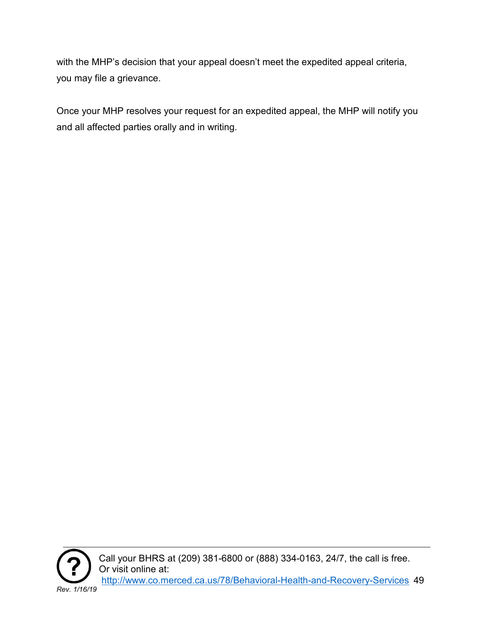with the MHP's decision that your appeal doesn't meet the expedited appeal criteria, you may file a grievance.

Once your MHP resolves your request for an expedited appeal, the MHP will notify you and all affected parties orally and in writing.



Call your BHRS at (209) 381-6800 or (888) 334-0163, 24/7, the call is free. Or visit online at: [http://www.co.merced.ca.us/78/Behavioral-Health-and-Recovery-Services](http://www.co.merced.ca.us/78/Behavioral-Health-and-%20%20%20Recovery-Services) 49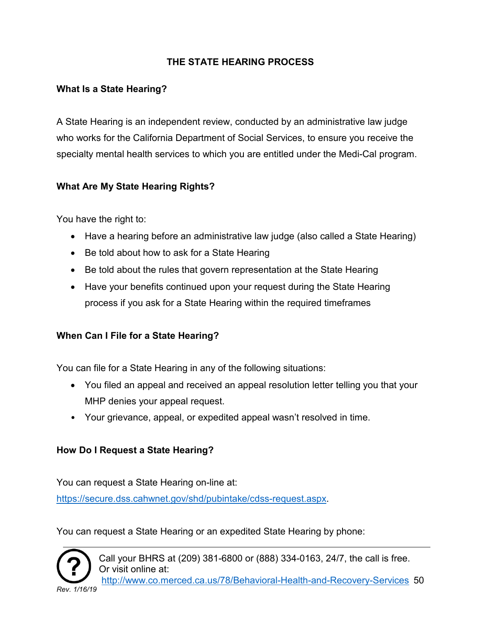#### **THE STATE HEARING PROCESS**

#### <span id="page-49-0"></span>**What Is a State Hearing?**

A State Hearing is an independent review, conducted by an administrative law judge who works for the California Department of Social Services, to ensure you receive the specialty mental health services to which you are entitled under the Medi-Cal program.

#### **What Are My State Hearing Rights?**

You have the right to:

- Have a hearing before an administrative law judge (also called a State Hearing)
- Be told about how to ask for a State Hearing
- Be told about the rules that govern representation at the State Hearing
- Have your benefits continued upon your request during the State Hearing process if you ask for a State Hearing within the required timeframes

#### **When Can I File for a State Hearing?**

You can file for a State Hearing in any of the following situations:

- You filed an appeal and received an appeal resolution letter telling you that your MHP denies your appeal request.
- Your grievance, appeal, or expedited appeal wasn't resolved in time.

#### **How Do I Request a State Hearing?**

You can request a State Hearing on-line at:

[https://secure.dss.cahwnet.gov/shd/pubintake/cdss-request.aspx.](https://secure.dss.cahwnet.gov/shd/pubintake/cdss-request.aspx)

You can request a State Hearing or an expedited State Hearing by phone:

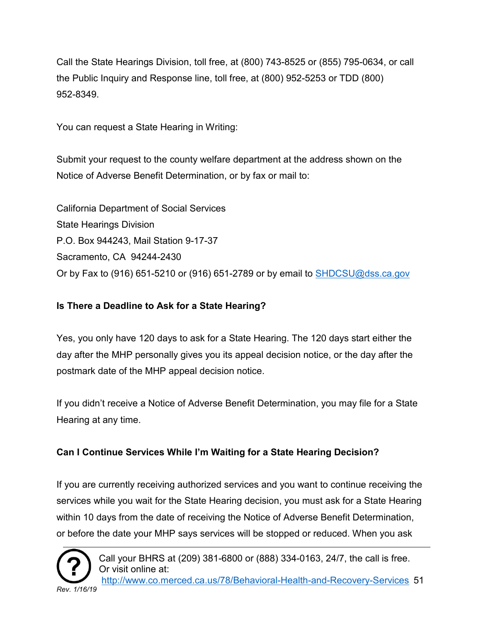Call the State Hearings Division, toll free, at (800) 743-8525 or (855) 795-0634, or call the Public Inquiry and Response line, toll free, at (800) 952-5253 or TDD (800) 952-8349.

You can request a State Hearing in Writing:

Submit your request to the county welfare department at the address shown on the Notice of Adverse Benefit Determination, or by fax or mail to:

California Department of Social Services State Hearings Division P.O. Box 944243, Mail Station 9-17-37 Sacramento, CA 94244-2430 Or by Fax to (916) 651-5210 or (916) 651-2789 or by email to  $\frac{\text{SHDCSU@dss.ca.gov}}{\text{StDCSU@dss.ca.gov}}$ 

#### **Is There a Deadline to Ask for a State Hearing?**

Yes, you only have 120 days to ask for a State Hearing. The 120 days start either the day after the MHP personally gives you its appeal decision notice, or the day after the postmark date of the MHP appeal decision notice.

If you didn't receive a Notice of Adverse Benefit Determination, you may file for a State Hearing at any time.

#### **Can I Continue Services While I'm Waiting for a State Hearing Decision?**

If you are currently receiving authorized services and you want to continue receiving the services while you wait for the State Hearing decision, you must ask for a State Hearing within 10 days from the date of receiving the Notice of Adverse Benefit Determination, or before the date your MHP says services will be stopped or reduced. When you ask

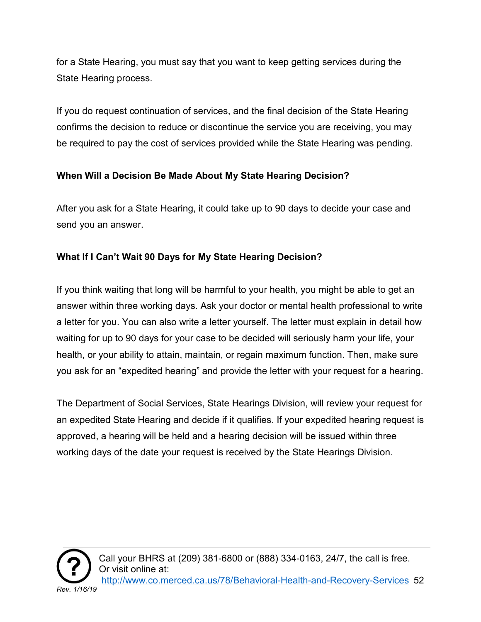for a State Hearing, you must say that you want to keep getting services during the State Hearing process.

If you do request continuation of services, and the final decision of the State Hearing confirms the decision to reduce or discontinue the service you are receiving, you may be required to pay the cost of services provided while the State Hearing was pending.

#### **When Will a Decision Be Made About My State Hearing Decision?**

After you ask for a State Hearing, it could take up to 90 days to decide your case and send you an answer.

#### **What If I Can't Wait 90 Days for My State Hearing Decision?**

If you think waiting that long will be harmful to your health, you might be able to get an answer within three working days. Ask your doctor or mental health professional to write a letter for you. You can also write a letter yourself. The letter must explain in detail how waiting for up to 90 days for your case to be decided will seriously harm your life, your health, or your ability to attain, maintain, or regain maximum function. Then, make sure you ask for an "expedited hearing" and provide the letter with your request for a hearing.

The Department of Social Services, State Hearings Division, will review your request for an expedited State Hearing and decide if it qualifies. If your expedited hearing request is approved, a hearing will be held and a hearing decision will be issued within three working days of the date your request is received by the State Hearings Division.

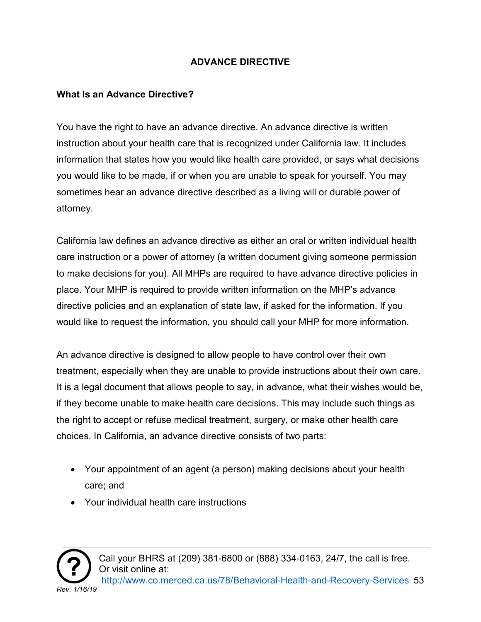#### **ADVANCE DIRECTIVE**

#### <span id="page-52-0"></span>**What Is an Advance Directive?**

You have the right to have an advance directive. An advance directive is written instruction about your health care that is recognized under California law. It includes information that states how you would like health care provided, or says what decisions you would like to be made, if or when you are unable to speak for yourself. You may sometimes hear an advance directive described as a living will or durable power of attorney.

California law defines an advance directive as either an oral or written individual health care instruction or a power of attorney (a written document giving someone permission to make decisions for you). All MHPs are required to have advance directive policies in place. Your MHP is required to provide written information on the MHP's advance directive policies and an explanation of state law, if asked for the information. If you would like to request the information, you should call your MHP for more information.

An advance directive is designed to allow people to have control over their own treatment, especially when they are unable to provide instructions about their own care. It is a legal document that allows people to say, in advance, what their wishes would be, if they become unable to make health care decisions. This may include such things as the right to accept or refuse medical treatment, surgery, or make other health care choices. In California, an advance directive consists of two parts:

- Your appointment of an agent (a person) making decisions about your health care; and
- Your individual health care instructions

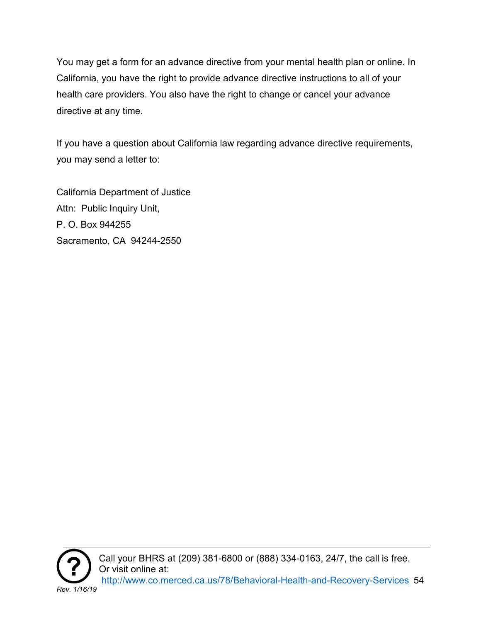You may get a form for an advance directive from your mental health plan or online. In California, you have the right to provide advance directive instructions to all of your health care providers. You also have the right to change or cancel your advance directive at any time.

If you have a question about California law regarding advance directive requirements, you may send a letter to:

California Department of Justice Attn: Public Inquiry Unit, P. O. Box 944255 Sacramento, CA 94244-2550



Call your BHRS at (209) 381-6800 or (888) 334-0163, 24/7, the call is free. Or visit online at: [http://www.co.merced.ca.us/78/Behavioral-Health-and-Recovery-Services](http://www.co.merced.ca.us/78/Behavioral-Health-and-%20%20%20Recovery-Services) 54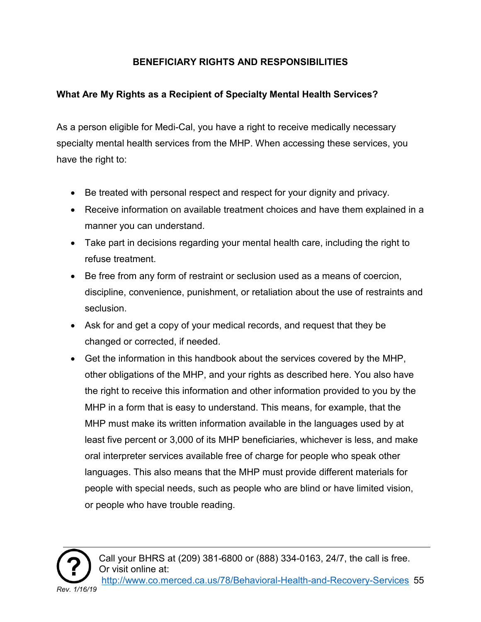#### **BENEFICIARY RIGHTS AND RESPONSIBILITIES**

#### <span id="page-54-0"></span>**What Are My Rights as a Recipient of Specialty Mental Health Services?**

As a person eligible for Medi-Cal, you have a right to receive medically necessary specialty mental health services from the MHP. When accessing these services, you have the right to:

- Be treated with personal respect and respect for your dignity and privacy.
- Receive information on available treatment choices and have them explained in a manner you can understand.
- Take part in decisions regarding your mental health care, including the right to refuse treatment.
- Be free from any form of restraint or seclusion used as a means of coercion, discipline, convenience, punishment, or retaliation about the use of restraints and seclusion.
- Ask for and get a copy of your medical records, and request that they be changed or corrected, if needed.
- Get the information in this handbook about the services covered by the MHP, other obligations of the MHP, and your rights as described here. You also have the right to receive this information and other information provided to you by the MHP in a form that is easy to understand. This means, for example, that the MHP must make its written information available in the languages used by at least five percent or 3,000 of its MHP beneficiaries, whichever is less, and make oral interpreter services available free of charge for people who speak other languages. This also means that the MHP must provide different materials for people with special needs, such as people who are blind or have limited vision, or people who have trouble reading.

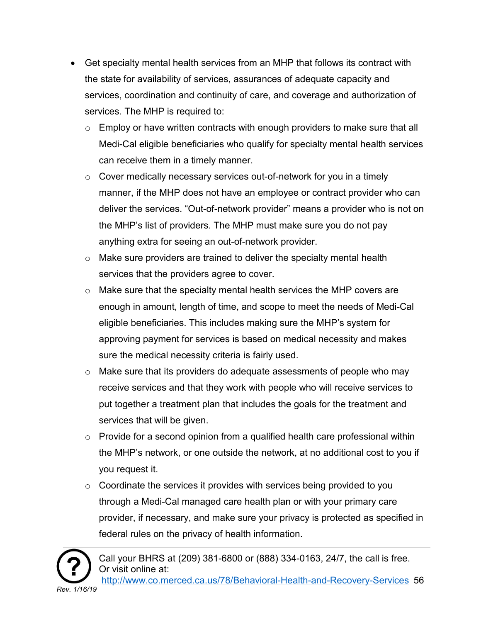- Get specialty mental health services from an MHP that follows its contract with the state for availability of services, assurances of adequate capacity and services, coordination and continuity of care, and coverage and authorization of services. The MHP is required to:
	- $\circ$  Employ or have written contracts with enough providers to make sure that all Medi-Cal eligible beneficiaries who qualify for specialty mental health services can receive them in a timely manner.
	- $\circ$  Cover medically necessary services out-of-network for you in a timely manner, if the MHP does not have an employee or contract provider who can deliver the services. "Out-of-network provider" means a provider who is not on the MHP's list of providers. The MHP must make sure you do not pay anything extra for seeing an out-of-network provider.
	- o Make sure providers are trained to deliver the specialty mental health services that the providers agree to cover.
	- $\circ$  Make sure that the specialty mental health services the MHP covers are enough in amount, length of time, and scope to meet the needs of Medi-Cal eligible beneficiaries. This includes making sure the MHP's system for approving payment for services is based on medical necessity and makes sure the medical necessity criteria is fairly used.
	- o Make sure that its providers do adequate assessments of people who may receive services and that they work with people who will receive services to put together a treatment plan that includes the goals for the treatment and services that will be given.
	- $\circ$  Provide for a second opinion from a qualified health care professional within the MHP's network, or one outside the network, at no additional cost to you if you request it.
	- $\circ$  Coordinate the services it provides with services being provided to you through a Medi-Cal managed care health plan or with your primary care provider, if necessary, and make sure your privacy is protected as specified in federal rules on the privacy of health information.

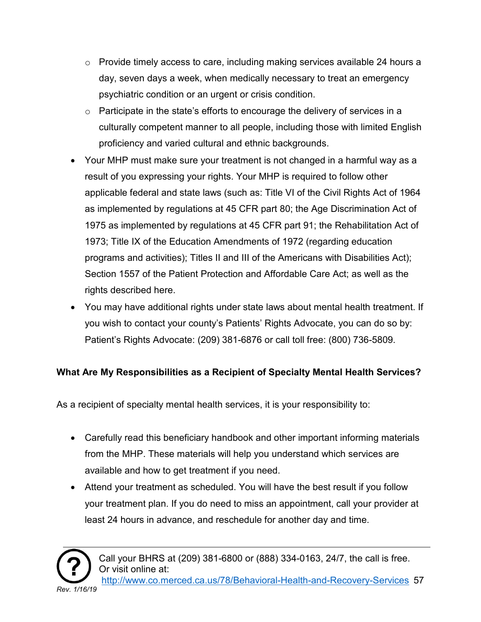- $\circ$  Provide timely access to care, including making services available 24 hours a day, seven days a week, when medically necessary to treat an emergency psychiatric condition or an urgent or crisis condition.
- $\circ$  Participate in the state's efforts to encourage the delivery of services in a culturally competent manner to all people, including those with limited English proficiency and varied cultural and ethnic backgrounds.
- Your MHP must make sure your treatment is not changed in a harmful way as a result of you expressing your rights. Your MHP is required to follow other applicable federal and state laws (such as: Title VI of the Civil Rights Act of 1964 as implemented by regulations at 45 CFR part 80; the Age Discrimination Act of 1975 as implemented by regulations at 45 CFR part 91; the Rehabilitation Act of 1973; Title IX of the Education Amendments of 1972 (regarding education programs and activities); Titles II and III of the Americans with Disabilities Act); Section 1557 of the Patient Protection and Affordable Care Act; as well as the rights described here.
- You may have additional rights under state laws about mental health treatment. If you wish to contact your county's Patients' Rights Advocate, you can do so by: Patient's Rights Advocate: (209) 381-6876 or call toll free: (800) 736-5809.

#### **What Are My Responsibilities as a Recipient of Specialty Mental Health Services?**

As a recipient of specialty mental health services, it is your responsibility to:

- Carefully read this beneficiary handbook and other important informing materials from the MHP. These materials will help you understand which services are available and how to get treatment if you need.
- Attend your treatment as scheduled. You will have the best result if you follow your treatment plan. If you do need to miss an appointment, call your provider at least 24 hours in advance, and reschedule for another day and time.